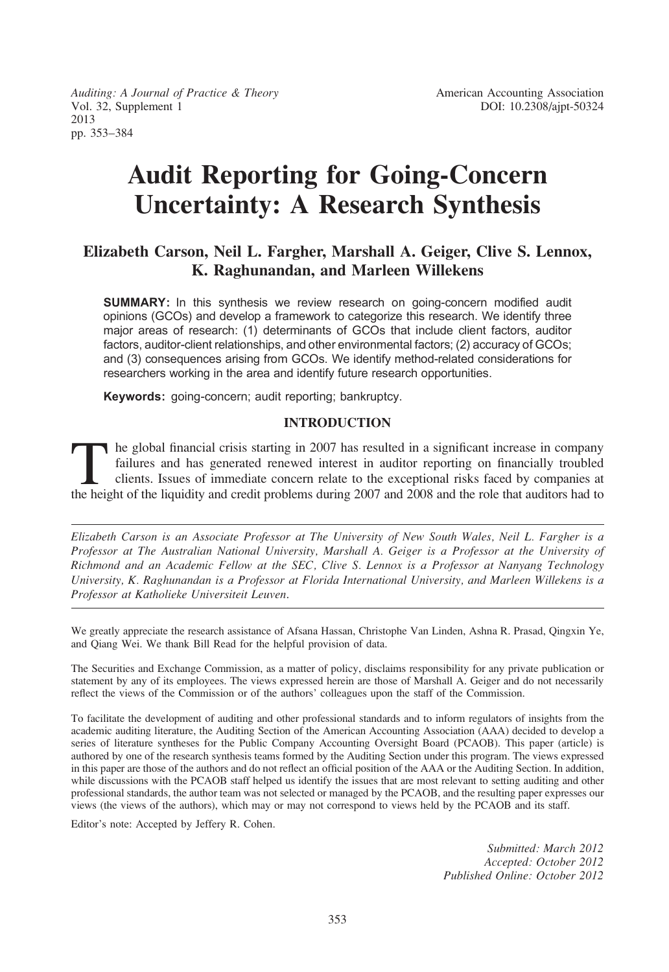Auditing: A Journal of Practice & Theory **American Accounting Association** Vol. 32, Supplement 1 DOI: 10.2308/ajpt-50324 2013 pp. 353–384

# Audit Reporting for Going-Concern Uncertainty: A Research Synthesis

# Elizabeth Carson, Neil L. Fargher, Marshall A. Geiger, Clive S. Lennox, K. Raghunandan, and Marleen Willekens

SUMMARY: In this synthesis we review research on going-concern modified audit opinions (GCOs) and develop a framework to categorize this research. We identify three major areas of research: (1) determinants of GCOs that include client factors, auditor factors, auditor-client relationships, and other environmental factors; (2) accuracy of GCOs; and (3) consequences arising from GCOs. We identify method-related considerations for researchers working in the area and identify future research opportunities.

Keywords: going-concern; audit reporting; bankruptcy.

# INTRODUCTION

The global financial crisis starting in 2007 has resulted in a significant increase in company failures and has generated renewed interest in auditor reporting on financially troubled clients. Issues of immediate concern relate to the exceptional risks faced by companies at the height of the liquidity and credit problems during 2007 and 2008 and the role that auditors had to

Elizabeth Carson is an Associate Professor at The University of New South Wales, Neil L. Fargher is a Professor at The Australian National University, Marshall A. Geiger is a Professor at the University of Richmond and an Academic Fellow at the SEC, Clive S. Lennox is a Professor at Nanyang Technology University, K. Raghunandan is a Professor at Florida International University, and Marleen Willekens is a Professor at Katholieke Universiteit Leuven.

We greatly appreciate the research assistance of Afsana Hassan, Christophe Van Linden, Ashna R. Prasad, Qingxin Ye, and Qiang Wei. We thank Bill Read for the helpful provision of data.

The Securities and Exchange Commission, as a matter of policy, disclaims responsibility for any private publication or statement by any of its employees. The views expressed herein are those of Marshall A. Geiger and do not necessarily reflect the views of the Commission or of the authors' colleagues upon the staff of the Commission.

To facilitate the development of auditing and other professional standards and to inform regulators of insights from the academic auditing literature, the Auditing Section of the American Accounting Association (AAA) decided to develop a series of literature syntheses for the Public Company Accounting Oversight Board (PCAOB). This paper (article) is authored by one of the research synthesis teams formed by the Auditing Section under this program. The views expressed in this paper are those of the authors and do not reflect an official position of the AAA or the Auditing Section. In addition, while discussions with the PCAOB staff helped us identify the issues that are most relevant to setting auditing and other professional standards, the author team was not selected or managed by the PCAOB, and the resulting paper expresses our views (the views of the authors), which may or may not correspond to views held by the PCAOB and its staff.

Editor's note: Accepted by Jeffery R. Cohen.

Submitted: March 2012 Accepted: October 2012 Published Online: October 2012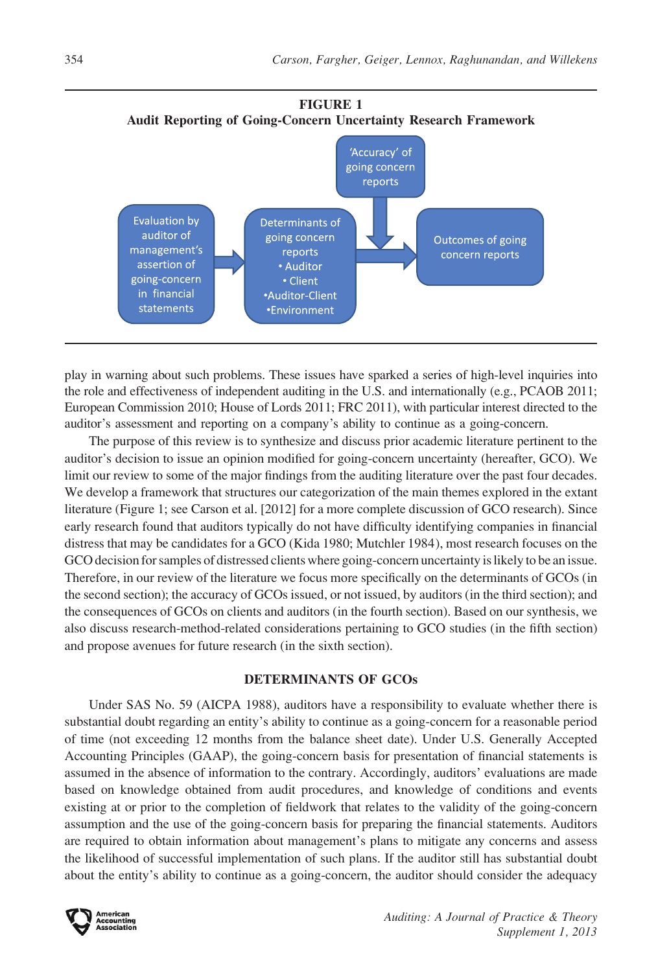concern reports

FIGURE 1 Audit Reporting of Going-Concern Uncertainty Research Framework 'Accuracy' of going concern reports **Evaluation by** Determinants of auditor of going concern Outcomes of going

reports

• Auditor

• Client

•Auditor-Client

**\*Environment** 

play in warning about such problems. These issues have sparked a series of high-level inquiries into the role and effectiveness of independent auditing in the U.S. and internationally (e.g., PCAOB 2011; European Commission 2010; House of Lords 2011; FRC 2011), with particular interest directed to the auditor's assessment and reporting on a company's ability to continue as a going-concern.

The purpose of this review is to synthesize and discuss prior academic literature pertinent to the auditor's decision to issue an opinion modified for going-concern uncertainty (hereafter, GCO). We limit our review to some of the major findings from the auditing literature over the past four decades. We develop a framework that structures our categorization of the main themes explored in the extant literature (Figure 1; see Carson et al. [2012] for a more complete discussion of GCO research). Since early research found that auditors typically do not have difficulty identifying companies in financial distress that may be candidates for a GCO (Kida 1980; Mutchler 1984), most research focuses on the GCO decision for samples of distressed clients where going-concern uncertainty is likely to be an issue. Therefore, in our review of the literature we focus more specifically on the determinants of GCOs (in the second section); the accuracy of GCOs issued, or not issued, by auditors (in the third section); and the consequences of GCOs on clients and auditors (in the fourth section). Based on our synthesis, we also discuss research-method-related considerations pertaining to GCO studies (in the fifth section) and propose avenues for future research (in the sixth section).

# DETERMINANTS OF GCOs

Under SAS No. 59 (AICPA 1988), auditors have a responsibility to evaluate whether there is substantial doubt regarding an entity's ability to continue as a going-concern for a reasonable period of time (not exceeding 12 months from the balance sheet date). Under U.S. Generally Accepted Accounting Principles (GAAP), the going-concern basis for presentation of financial statements is assumed in the absence of information to the contrary. Accordingly, auditors' evaluations are made based on knowledge obtained from audit procedures, and knowledge of conditions and events existing at or prior to the completion of fieldwork that relates to the validity of the going-concern assumption and the use of the going-concern basis for preparing the financial statements. Auditors are required to obtain information about management's plans to mitigate any concerns and assess the likelihood of successful implementation of such plans. If the auditor still has substantial doubt about the entity's ability to continue as a going-concern, the auditor should consider the adequacy



management's

assertion of

going-concern

in financial

statements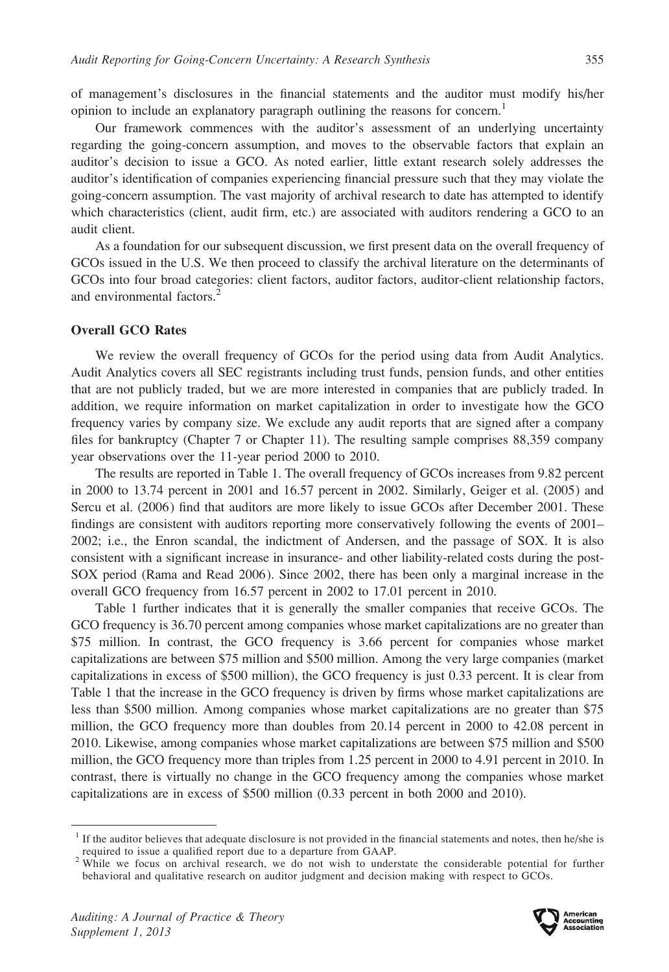of management's disclosures in the financial statements and the auditor must modify his/her opinion to include an explanatory paragraph outlining the reasons for concern.<sup>1</sup>

Our framework commences with the auditor's assessment of an underlying uncertainty regarding the going-concern assumption, and moves to the observable factors that explain an auditor's decision to issue a GCO. As noted earlier, little extant research solely addresses the auditor's identification of companies experiencing financial pressure such that they may violate the going-concern assumption. The vast majority of archival research to date has attempted to identify which characteristics (client, audit firm, etc.) are associated with auditors rendering a GCO to an audit client.

As a foundation for our subsequent discussion, we first present data on the overall frequency of GCOs issued in the U.S. We then proceed to classify the archival literature on the determinants of GCOs into four broad categories: client factors, auditor factors, auditor-client relationship factors, and environmental factors<sup>2</sup>

#### Overall GCO Rates

We review the overall frequency of GCOs for the period using data from Audit Analytics. Audit Analytics covers all SEC registrants including trust funds, pension funds, and other entities that are not publicly traded, but we are more interested in companies that are publicly traded. In addition, we require information on market capitalization in order to investigate how the GCO frequency varies by company size. We exclude any audit reports that are signed after a company files for bankruptcy (Chapter 7 or Chapter 11). The resulting sample comprises 88,359 company year observations over the 11-year period 2000 to 2010.

The results are reported in Table 1. The overall frequency of GCOs increases from 9.82 percent in 2000 to 13.74 percent in 2001 and 16.57 percent in 2002. Similarly, Geiger et al. (2005) and Sercu et al. (2006) find that auditors are more likely to issue GCOs after December 2001. These findings are consistent with auditors reporting more conservatively following the events of 2001– 2002; i.e., the Enron scandal, the indictment of Andersen, and the passage of SOX. It is also consistent with a significant increase in insurance- and other liability-related costs during the post-SOX period (Rama and Read 2006). Since 2002, there has been only a marginal increase in the overall GCO frequency from 16.57 percent in 2002 to 17.01 percent in 2010.

Table 1 further indicates that it is generally the smaller companies that receive GCOs. The GCO frequency is 36.70 percent among companies whose market capitalizations are no greater than \$75 million. In contrast, the GCO frequency is 3.66 percent for companies whose market capitalizations are between \$75 million and \$500 million. Among the very large companies (market capitalizations in excess of \$500 million), the GCO frequency is just 0.33 percent. It is clear from Table 1 that the increase in the GCO frequency is driven by firms whose market capitalizations are less than \$500 million. Among companies whose market capitalizations are no greater than \$75 million, the GCO frequency more than doubles from 20.14 percent in 2000 to 42.08 percent in 2010. Likewise, among companies whose market capitalizations are between \$75 million and \$500 million, the GCO frequency more than triples from 1.25 percent in 2000 to 4.91 percent in 2010. In contrast, there is virtually no change in the GCO frequency among the companies whose market capitalizations are in excess of \$500 million (0.33 percent in both 2000 and 2010).



 $<sup>1</sup>$  If the auditor believes that adequate disclosure is not provided in the financial statements and notes, then he/she is required to issue a qualified report due to a departure from GAAP.</sup>

<sup>&</sup>lt;sup>2</sup> While we focus on archival research, we do not wish to understate the considerable potential for further behavioral and qualitative research on auditor judgment and decision making with respect to GCOs.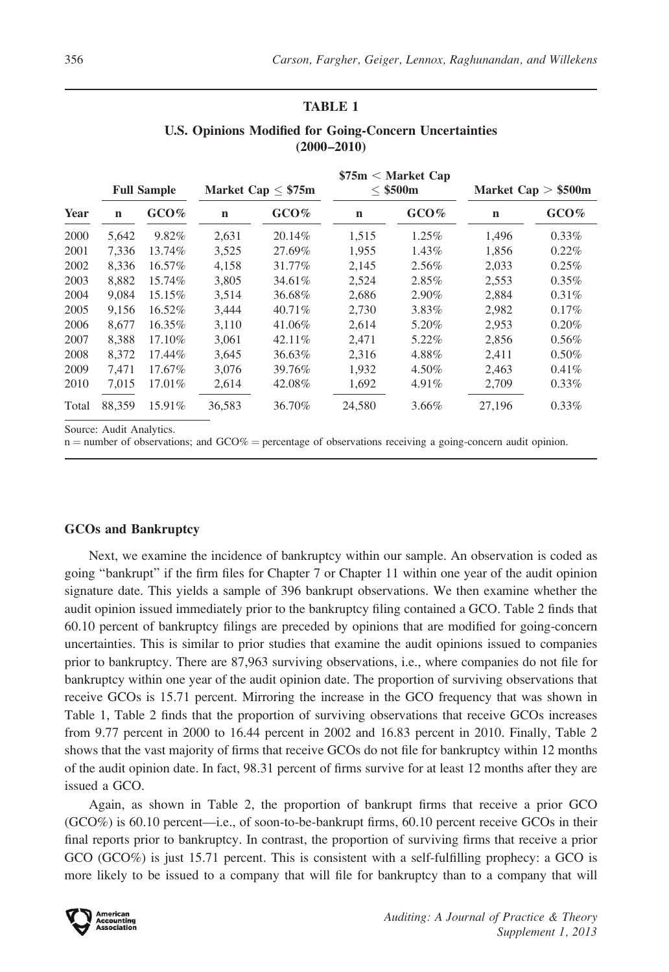#### TABLE 1

# U.S. Opinions Modified for Going-Concern Uncertainties (2000–2010)

|       | <b>Full Sample</b>                                                                     |        | Market Cap $\leq$ \$75m |         | $$75m <$ Market Cap<br>$<$ \$500m |          | Market Cap $>$ \$500m |          |
|-------|----------------------------------------------------------------------------------------|--------|-------------------------|---------|-----------------------------------|----------|-----------------------|----------|
| Year  | $\mathbf n$                                                                            | GCO%   | $\mathbf n$             | GCO%    | $\mathbf n$                       | GCO%     | $\mathbf n$           | GCO%     |
| 2000  | 5.642                                                                                  | 9.82%  | 2,631                   | 20.14%  | 1,515                             | $1.25\%$ | 1,496                 | $0.33\%$ |
| 2001  | 7,336                                                                                  | 13.74% | 3,525                   | 27.69%  | 1,955                             | $1.43\%$ | 1,856                 | $0.22\%$ |
| 2002  | 8,336                                                                                  | 16.57% | 4,158                   | 31.77%  | 2,145                             | 2.56%    | 2,033                 | 0.25%    |
| 2003  | 8.882                                                                                  | 15.74% | 3,805                   | 34.61%  | 2,524                             | 2.85%    | 2,553                 | $0.35\%$ |
| 2004  | 9.084                                                                                  | 15.15% | 3,514                   | 36.68%  | 2.686                             | 2.90%    | 2.884                 | 0.31%    |
| 2005  | 9,156                                                                                  | 16.52% | 3,444                   | 40.71\% | 2.730                             | 3.83%    | 2,982                 | $0.17\%$ |
| 2006  | 8.677                                                                                  | 16.35% | 3,110                   | 41.06%  | 2.614                             | 5.20%    | 2.953                 | $0.20\%$ |
| 2007  | 8,388                                                                                  | 17.10% | 3,061                   | 42.11\% | 2,471                             | 5.22%    | 2,856                 | $0.56\%$ |
| 2008  | 8,372                                                                                  | 17.44% | 3,645                   | 36.63%  | 2,316                             | 4.88%    | 2,411                 | $0.50\%$ |
| 2009  | 7.471                                                                                  | 17.67% | 3.076                   | 39.76%  | 1,932                             | 4.50%    | 2,463                 | 0.41%    |
| 2010  | 7.015                                                                                  | 17.01% | 2,614                   | 42.08%  | 1,692                             | $4.91\%$ | 2,709                 | $0.33\%$ |
| Total | 88.359                                                                                 | 15.91% | 36,583                  | 36.70%  | 24,580                            | 3.66%    | 27.196                | $0.33\%$ |
|       | $\begin{array}{ccc}\n\alpha & \alpha & \alpha & \alpha & \alpha & \alpha\n\end{array}$ |        |                         |         |                                   |          |                       |          |

Source: Audit Analytics.

 $n =$  number of observations; and  $GCO\%$  = percentage of observations receiving a going-concern audit opinion.

#### GCOs and Bankruptcy

Next, we examine the incidence of bankruptcy within our sample. An observation is coded as going ''bankrupt'' if the firm files for Chapter 7 or Chapter 11 within one year of the audit opinion signature date. This yields a sample of 396 bankrupt observations. We then examine whether the audit opinion issued immediately prior to the bankruptcy filing contained a GCO. Table 2 finds that 60.10 percent of bankruptcy filings are preceded by opinions that are modified for going-concern uncertainties. This is similar to prior studies that examine the audit opinions issued to companies prior to bankruptcy. There are 87,963 surviving observations, i.e., where companies do not file for bankruptcy within one year of the audit opinion date. The proportion of surviving observations that receive GCOs is 15.71 percent. Mirroring the increase in the GCO frequency that was shown in Table 1, Table 2 finds that the proportion of surviving observations that receive GCOs increases from 9.77 percent in 2000 to 16.44 percent in 2002 and 16.83 percent in 2010. Finally, Table 2 shows that the vast majority of firms that receive GCOs do not file for bankruptcy within 12 months of the audit opinion date. In fact, 98.31 percent of firms survive for at least 12 months after they are issued a GCO.

Again, as shown in Table 2, the proportion of bankrupt firms that receive a prior GCO (GCO%) is 60.10 percent—i.e., of soon-to-be-bankrupt firms, 60.10 percent receive GCOs in their final reports prior to bankruptcy. In contrast, the proportion of surviving firms that receive a prior GCO (GCO%) is just 15.71 percent. This is consistent with a self-fulfilling prophecy: a GCO is more likely to be issued to a company that will file for bankruptcy than to a company that will

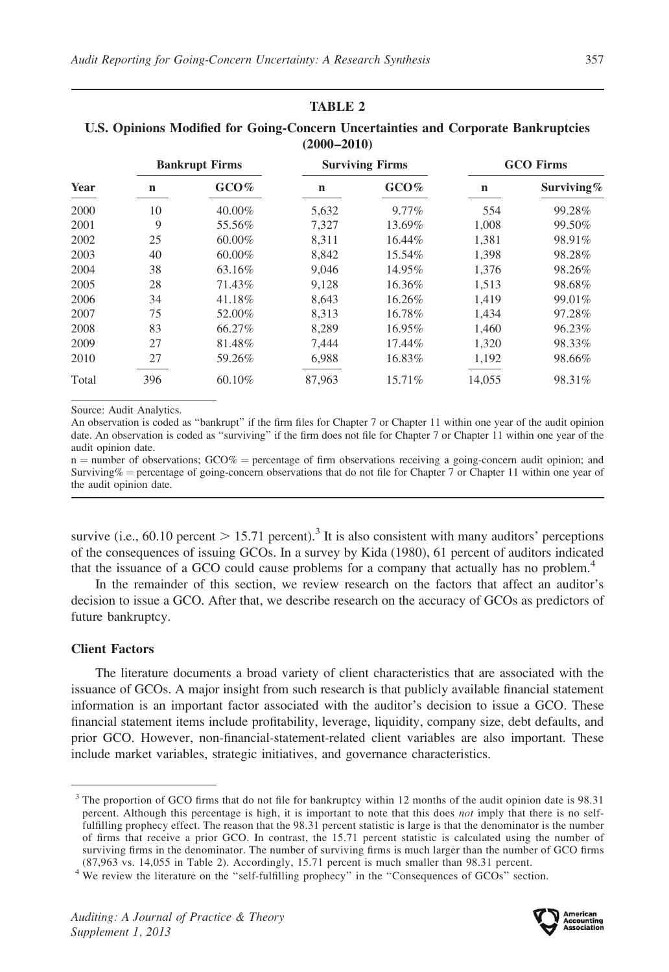#### TABLE 2

# U.S. Opinions Modified for Going-Concern Uncertainties and Corporate Bankruptcies (2000–2010)

|       |             | <b>Bankrupt Firms</b> |             | <b>Surviving Firms</b> | <b>GCO Firms</b> |                |
|-------|-------------|-----------------------|-------------|------------------------|------------------|----------------|
| Year  | $\mathbf n$ | GCO%                  | $\mathbf n$ | GCO%                   | n                | Surviving $\%$ |
| 2000  | 10          | 40.00%                | 5,632       | $9.77\%$               | 554              | 99.28%         |
| 2001  | 9           | 55.56%                | 7,327       | 13.69%                 | 1,008            | 99.50%         |
| 2002  | 25          | 60.00%                | 8,311       | 16.44%                 | 1,381            | 98.91%         |
| 2003  | 40          | 60.00%                | 8.842       | 15.54%                 | 1,398            | 98.28%         |
| 2004  | 38          | 63.16%                | 9,046       | 14.95%                 | 1,376            | 98.26%         |
| 2005  | 28          | 71.43%                | 9,128       | 16.36%                 | 1,513            | 98.68%         |
| 2006  | 34          | 41.18%                | 8.643       | 16.26%                 | 1.419            | 99.01%         |
| 2007  | 75          | 52.00%                | 8,313       | 16.78%                 | 1,434            | 97.28%         |
| 2008  | 83          | 66.27%                | 8.289       | 16.95%                 | 1.460            | 96.23%         |
| 2009  | 27          | 81.48%                | 7.444       | 17.44%                 | 1,320            | 98.33%         |
| 2010  | 27          | 59.26%                | 6,988       | 16.83%                 | 1,192            | 98.66%         |
| Total | 396         | 60.10%                | 87,963      | 15.71%                 | 14,055           | 98.31%         |

Source: Audit Analytics.

An observation is coded as ''bankrupt'' if the firm files for Chapter 7 or Chapter 11 within one year of the audit opinion date. An observation is coded as ''surviving'' if the firm does not file for Chapter 7 or Chapter 11 within one year of the audit opinion date.

 $n =$  number of observations; GCO% = percentage of firm observations receiving a going-concern audit opinion; and Surviving  $\%$  = percentage of going-concern observations that do not file for Chapter 7 or Chapter 11 within one year of the audit opinion date.

survive (i.e., 60.10 percent  $> 15.71$  percent).<sup>3</sup> It is also consistent with many auditors' perceptions of the consequences of issuing GCOs. In a survey by Kida (1980), 61 percent of auditors indicated that the issuance of a GCO could cause problems for a company that actually has no problem.<sup>4</sup>

In the remainder of this section, we review research on the factors that affect an auditor's decision to issue a GCO. After that, we describe research on the accuracy of GCOs as predictors of future bankruptcy.

#### Client Factors

The literature documents a broad variety of client characteristics that are associated with the issuance of GCOs. A major insight from such research is that publicly available financial statement information is an important factor associated with the auditor's decision to issue a GCO. These financial statement items include profitability, leverage, liquidity, company size, debt defaults, and prior GCO. However, non-financial-statement-related client variables are also important. These include market variables, strategic initiatives, and governance characteristics.



<sup>&</sup>lt;sup>3</sup> The proportion of GCO firms that do not file for bankruptcy within 12 months of the audit opinion date is 98.31 percent. Although this percentage is high, it is important to note that this does not imply that there is no selffulfilling prophecy effect. The reason that the 98.31 percent statistic is large is that the denominator is the number of firms that receive a prior GCO. In contrast, the 15.71 percent statistic is calculated using the number of surviving firms in the denominator. The number of surviving firms is much larger than the number of GCO firms (87,963 vs. 14,055 in Table 2). Accordingly, 15.71 percent is much smaller than 98.31 percent.

<sup>&</sup>lt;sup>4</sup> We review the literature on the "self-fulfilling prophecy" in the "Consequences of GCOs" section.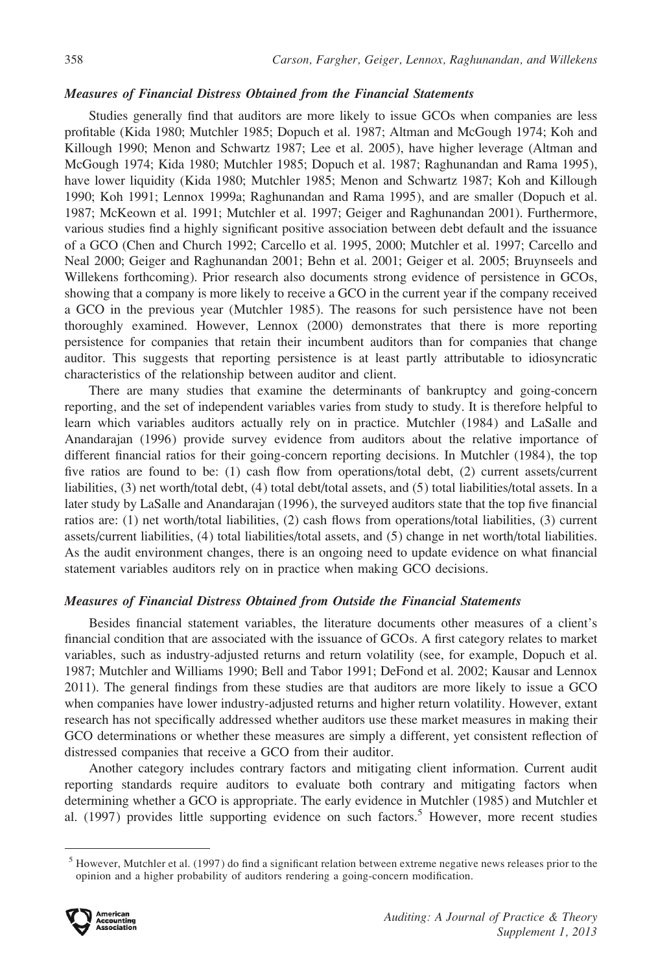#### Measures of Financial Distress Obtained from the Financial Statements

Studies generally find that auditors are more likely to issue GCOs when companies are less profitable (Kida 1980; Mutchler 1985; Dopuch et al. 1987; Altman and McGough 1974; Koh and Killough 1990; Menon and Schwartz 1987; Lee et al. 2005), have higher leverage (Altman and McGough 1974; Kida 1980; Mutchler 1985; Dopuch et al. 1987; Raghunandan and Rama 1995), have lower liquidity (Kida 1980; Mutchler 1985; Menon and Schwartz 1987; Koh and Killough 1990; Koh 1991; Lennox 1999a; Raghunandan and Rama 1995), and are smaller (Dopuch et al. 1987; McKeown et al. 1991; Mutchler et al. 1997; Geiger and Raghunandan 2001). Furthermore, various studies find a highly significant positive association between debt default and the issuance of a GCO (Chen and Church 1992; Carcello et al. 1995, 2000; Mutchler et al. 1997; Carcello and Neal 2000; Geiger and Raghunandan 2001; Behn et al. 2001; Geiger et al. 2005; Bruynseels and Willekens forthcoming). Prior research also documents strong evidence of persistence in GCOs, showing that a company is more likely to receive a GCO in the current year if the company received a GCO in the previous year (Mutchler 1985). The reasons for such persistence have not been thoroughly examined. However, Lennox (2000) demonstrates that there is more reporting persistence for companies that retain their incumbent auditors than for companies that change auditor. This suggests that reporting persistence is at least partly attributable to idiosyncratic characteristics of the relationship between auditor and client.

There are many studies that examine the determinants of bankruptcy and going-concern reporting, and the set of independent variables varies from study to study. It is therefore helpful to learn which variables auditors actually rely on in practice. Mutchler (1984) and LaSalle and Anandarajan (1996) provide survey evidence from auditors about the relative importance of different financial ratios for their going-concern reporting decisions. In Mutchler (1984), the top five ratios are found to be: (1) cash flow from operations/total debt, (2) current assets/current liabilities, (3) net worth/total debt, (4) total debt/total assets, and (5) total liabilities/total assets. In a later study by LaSalle and Anandarajan (1996), the surveyed auditors state that the top five financial ratios are: (1) net worth/total liabilities, (2) cash flows from operations/total liabilities, (3) current assets/current liabilities, (4) total liabilities/total assets, and (5) change in net worth/total liabilities. As the audit environment changes, there is an ongoing need to update evidence on what financial statement variables auditors rely on in practice when making GCO decisions.

#### Measures of Financial Distress Obtained from Outside the Financial Statements

Besides financial statement variables, the literature documents other measures of a client's financial condition that are associated with the issuance of GCOs. A first category relates to market variables, such as industry-adjusted returns and return volatility (see, for example, Dopuch et al. 1987; Mutchler and Williams 1990; Bell and Tabor 1991; DeFond et al. 2002; Kausar and Lennox 2011). The general findings from these studies are that auditors are more likely to issue a GCO when companies have lower industry-adjusted returns and higher return volatility. However, extant research has not specifically addressed whether auditors use these market measures in making their GCO determinations or whether these measures are simply a different, yet consistent reflection of distressed companies that receive a GCO from their auditor.

Another category includes contrary factors and mitigating client information. Current audit reporting standards require auditors to evaluate both contrary and mitigating factors when determining whether a GCO is appropriate. The early evidence in Mutchler (1985) and Mutchler et al. (1997) provides little supporting evidence on such factors.<sup>5</sup> However, more recent studies

<sup>5</sup> However, Mutchler et al. (1997) do find a significant relation between extreme negative news releases prior to the opinion and a higher probability of auditors rendering a going-concern modification.

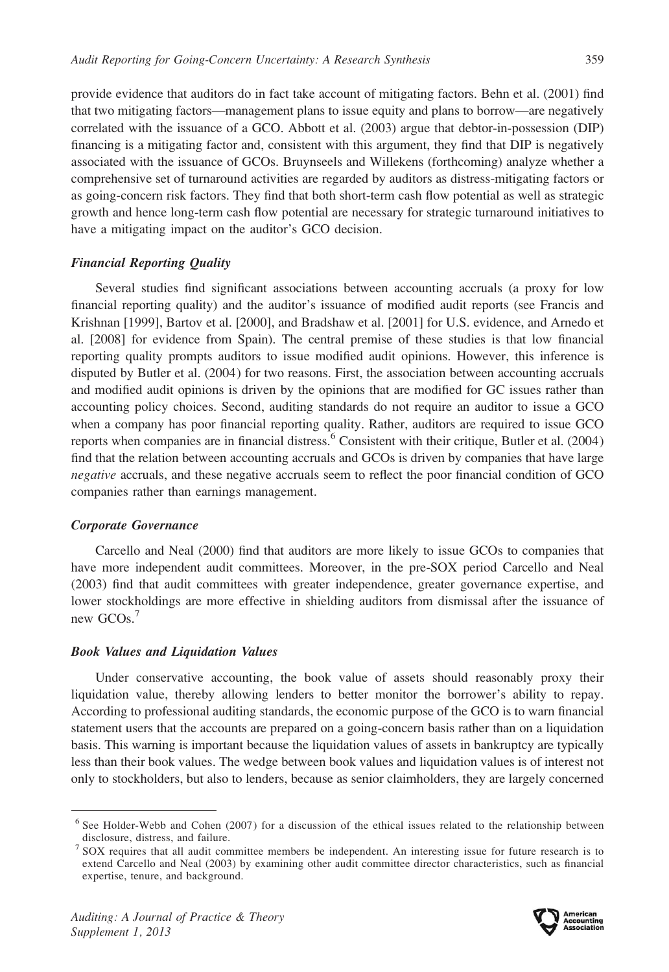provide evidence that auditors do in fact take account of mitigating factors. Behn et al. (2001) find that two mitigating factors—management plans to issue equity and plans to borrow—are negatively correlated with the issuance of a GCO. Abbott et al. (2003) argue that debtor-in-possession (DIP) financing is a mitigating factor and, consistent with this argument, they find that DIP is negatively associated with the issuance of GCOs. Bruynseels and Willekens (forthcoming) analyze whether a comprehensive set of turnaround activities are regarded by auditors as distress-mitigating factors or as going-concern risk factors. They find that both short-term cash flow potential as well as strategic growth and hence long-term cash flow potential are necessary for strategic turnaround initiatives to have a mitigating impact on the auditor's GCO decision.

# Financial Reporting Quality

Several studies find significant associations between accounting accruals (a proxy for low financial reporting quality) and the auditor's issuance of modified audit reports (see Francis and Krishnan [1999], Bartov et al. [2000], and Bradshaw et al. [2001] for U.S. evidence, and Arnedo et al. [2008] for evidence from Spain). The central premise of these studies is that low financial reporting quality prompts auditors to issue modified audit opinions. However, this inference is disputed by Butler et al. (2004) for two reasons. First, the association between accounting accruals and modified audit opinions is driven by the opinions that are modified for GC issues rather than accounting policy choices. Second, auditing standards do not require an auditor to issue a GCO when a company has poor financial reporting quality. Rather, auditors are required to issue GCO reports when companies are in financial distress.<sup>6</sup> Consistent with their critique, Butler et al. (2004) find that the relation between accounting accruals and GCOs is driven by companies that have large negative accruals, and these negative accruals seem to reflect the poor financial condition of GCO companies rather than earnings management.

#### Corporate Governance

Carcello and Neal (2000) find that auditors are more likely to issue GCOs to companies that have more independent audit committees. Moreover, in the pre-SOX period Carcello and Neal (2003) find that audit committees with greater independence, greater governance expertise, and lower stockholdings are more effective in shielding auditors from dismissal after the issuance of new GCOs.<sup>7</sup>

#### Book Values and Liquidation Values

Under conservative accounting, the book value of assets should reasonably proxy their liquidation value, thereby allowing lenders to better monitor the borrower's ability to repay. According to professional auditing standards, the economic purpose of the GCO is to warn financial statement users that the accounts are prepared on a going-concern basis rather than on a liquidation basis. This warning is important because the liquidation values of assets in bankruptcy are typically less than their book values. The wedge between book values and liquidation values is of interest not only to stockholders, but also to lenders, because as senior claimholders, they are largely concerned

<sup>6</sup> See Holder-Webb and Cohen (2007) for a discussion of the ethical issues related to the relationship between

disclosure, distress, and failure.<br><sup>7</sup> SOX requires that all audit committee members be independent. An interesting issue for future research is to extend Carcello and Neal (2003) by examining other audit committee director characteristics, such as financial expertise, tenure, and background.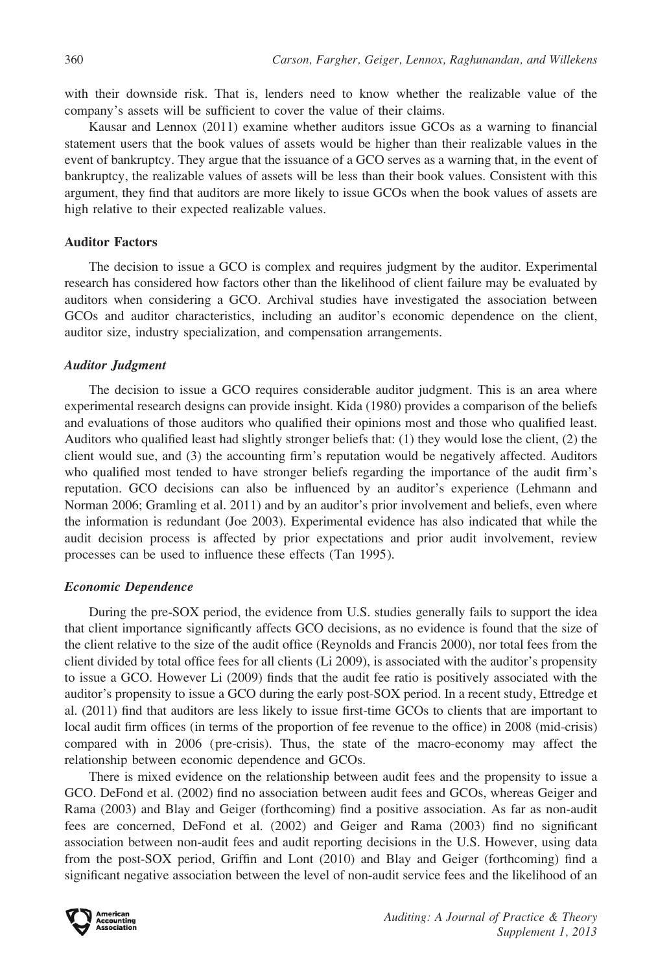with their downside risk. That is, lenders need to know whether the realizable value of the company's assets will be sufficient to cover the value of their claims.

Kausar and Lennox (2011) examine whether auditors issue GCOs as a warning to financial statement users that the book values of assets would be higher than their realizable values in the event of bankruptcy. They argue that the issuance of a GCO serves as a warning that, in the event of bankruptcy, the realizable values of assets will be less than their book values. Consistent with this argument, they find that auditors are more likely to issue GCOs when the book values of assets are high relative to their expected realizable values.

# Auditor Factors

The decision to issue a GCO is complex and requires judgment by the auditor. Experimental research has considered how factors other than the likelihood of client failure may be evaluated by auditors when considering a GCO. Archival studies have investigated the association between GCOs and auditor characteristics, including an auditor's economic dependence on the client, auditor size, industry specialization, and compensation arrangements.

# Auditor Judgment

The decision to issue a GCO requires considerable auditor judgment. This is an area where experimental research designs can provide insight. Kida (1980) provides a comparison of the beliefs and evaluations of those auditors who qualified their opinions most and those who qualified least. Auditors who qualified least had slightly stronger beliefs that: (1) they would lose the client, (2) the client would sue, and (3) the accounting firm's reputation would be negatively affected. Auditors who qualified most tended to have stronger beliefs regarding the importance of the audit firm's reputation. GCO decisions can also be influenced by an auditor's experience (Lehmann and Norman 2006; Gramling et al. 2011) and by an auditor's prior involvement and beliefs, even where the information is redundant (Joe 2003). Experimental evidence has also indicated that while the audit decision process is affected by prior expectations and prior audit involvement, review processes can be used to influence these effects (Tan 1995).

# Economic Dependence

During the pre-SOX period, the evidence from U.S. studies generally fails to support the idea that client importance significantly affects GCO decisions, as no evidence is found that the size of the client relative to the size of the audit office (Reynolds and Francis 2000), nor total fees from the client divided by total office fees for all clients (Li 2009), is associated with the auditor's propensity to issue a GCO. However Li (2009) finds that the audit fee ratio is positively associated with the auditor's propensity to issue a GCO during the early post-SOX period. In a recent study, Ettredge et al. (2011) find that auditors are less likely to issue first-time GCOs to clients that are important to local audit firm offices (in terms of the proportion of fee revenue to the office) in 2008 (mid-crisis) compared with in 2006 (pre-crisis). Thus, the state of the macro-economy may affect the relationship between economic dependence and GCOs.

There is mixed evidence on the relationship between audit fees and the propensity to issue a GCO. DeFond et al. (2002) find no association between audit fees and GCOs, whereas Geiger and Rama (2003) and Blay and Geiger (forthcoming) find a positive association. As far as non-audit fees are concerned, DeFond et al. (2002) and Geiger and Rama (2003) find no significant association between non-audit fees and audit reporting decisions in the U.S. However, using data from the post-SOX period, Griffin and Lont (2010) and Blay and Geiger (forthcoming) find a significant negative association between the level of non-audit service fees and the likelihood of an

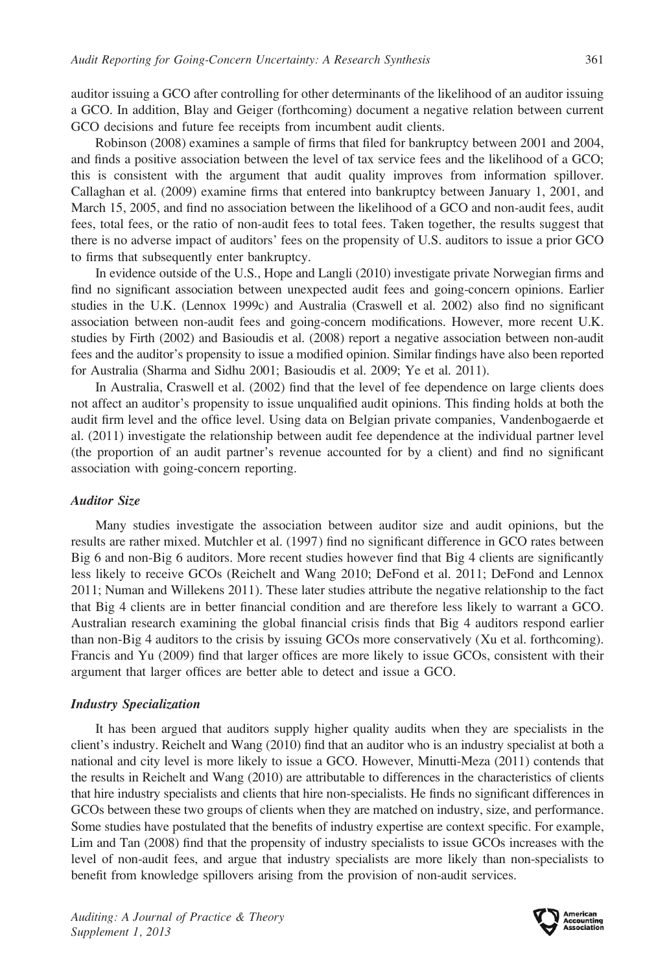auditor issuing a GCO after controlling for other determinants of the likelihood of an auditor issuing a GCO. In addition, Blay and Geiger (forthcoming) document a negative relation between current GCO decisions and future fee receipts from incumbent audit clients.

Robinson (2008) examines a sample of firms that filed for bankruptcy between 2001 and 2004, and finds a positive association between the level of tax service fees and the likelihood of a GCO; this is consistent with the argument that audit quality improves from information spillover. Callaghan et al. (2009) examine firms that entered into bankruptcy between January 1, 2001, and March 15, 2005, and find no association between the likelihood of a GCO and non-audit fees, audit fees, total fees, or the ratio of non-audit fees to total fees. Taken together, the results suggest that there is no adverse impact of auditors' fees on the propensity of U.S. auditors to issue a prior GCO to firms that subsequently enter bankruptcy.

In evidence outside of the U.S., Hope and Langli (2010) investigate private Norwegian firms and find no significant association between unexpected audit fees and going-concern opinions. Earlier studies in the U.K. (Lennox 1999c) and Australia (Craswell et al. 2002) also find no significant association between non-audit fees and going-concern modifications. However, more recent U.K. studies by Firth (2002) and Basioudis et al. (2008) report a negative association between non-audit fees and the auditor's propensity to issue a modified opinion. Similar findings have also been reported for Australia (Sharma and Sidhu 2001; Basioudis et al. 2009; Ye et al. 2011).

In Australia, Craswell et al. (2002) find that the level of fee dependence on large clients does not affect an auditor's propensity to issue unqualified audit opinions. This finding holds at both the audit firm level and the office level. Using data on Belgian private companies, Vandenbogaerde et al. (2011) investigate the relationship between audit fee dependence at the individual partner level (the proportion of an audit partner's revenue accounted for by a client) and find no significant association with going-concern reporting.

#### Auditor Size

Many studies investigate the association between auditor size and audit opinions, but the results are rather mixed. Mutchler et al. (1997) find no significant difference in GCO rates between Big 6 and non-Big 6 auditors. More recent studies however find that Big 4 clients are significantly less likely to receive GCOs (Reichelt and Wang 2010; DeFond et al. 2011; DeFond and Lennox 2011; Numan and Willekens 2011). These later studies attribute the negative relationship to the fact that Big 4 clients are in better financial condition and are therefore less likely to warrant a GCO. Australian research examining the global financial crisis finds that Big 4 auditors respond earlier than non-Big 4 auditors to the crisis by issuing GCOs more conservatively (Xu et al. forthcoming). Francis and Yu (2009) find that larger offices are more likely to issue GCOs, consistent with their argument that larger offices are better able to detect and issue a GCO.

#### Industry Specialization

It has been argued that auditors supply higher quality audits when they are specialists in the client's industry. Reichelt and Wang (2010) find that an auditor who is an industry specialist at both a national and city level is more likely to issue a GCO. However, Minutti-Meza (2011) contends that the results in Reichelt and Wang (2010) are attributable to differences in the characteristics of clients that hire industry specialists and clients that hire non-specialists. He finds no significant differences in GCOs between these two groups of clients when they are matched on industry, size, and performance. Some studies have postulated that the benefits of industry expertise are context specific. For example, Lim and Tan (2008) find that the propensity of industry specialists to issue GCOs increases with the level of non-audit fees, and argue that industry specialists are more likely than non-specialists to benefit from knowledge spillovers arising from the provision of non-audit services.

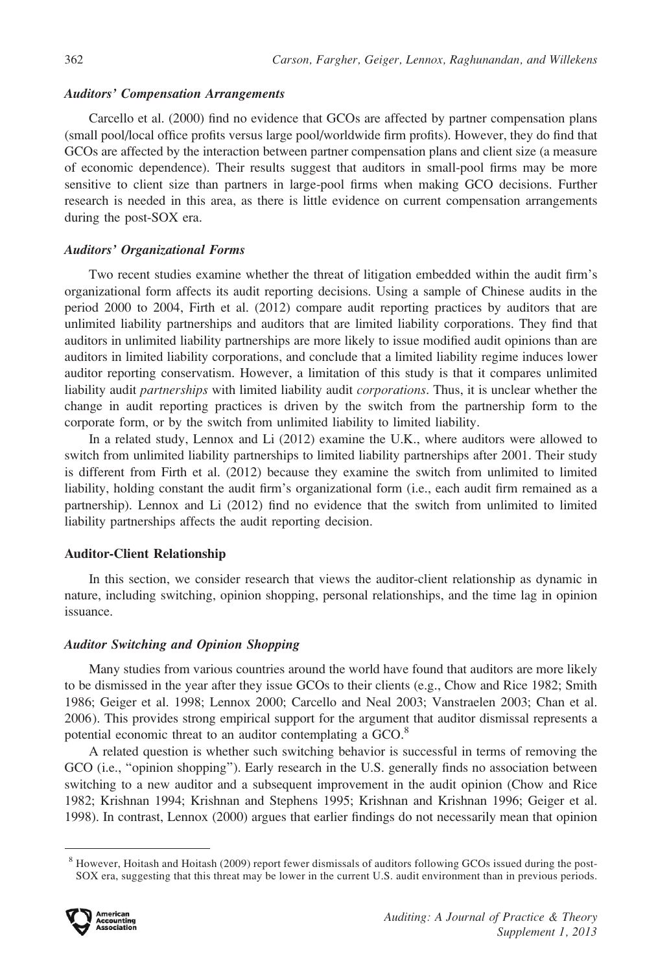#### Auditors' Compensation Arrangements

Carcello et al. (2000) find no evidence that GCOs are affected by partner compensation plans (small pool/local office profits versus large pool/worldwide firm profits). However, they do find that GCOs are affected by the interaction between partner compensation plans and client size (a measure of economic dependence). Their results suggest that auditors in small-pool firms may be more sensitive to client size than partners in large-pool firms when making GCO decisions. Further research is needed in this area, as there is little evidence on current compensation arrangements during the post-SOX era.

#### Auditors' Organizational Forms

Two recent studies examine whether the threat of litigation embedded within the audit firm's organizational form affects its audit reporting decisions. Using a sample of Chinese audits in the period 2000 to 2004, Firth et al. (2012) compare audit reporting practices by auditors that are unlimited liability partnerships and auditors that are limited liability corporations. They find that auditors in unlimited liability partnerships are more likely to issue modified audit opinions than are auditors in limited liability corporations, and conclude that a limited liability regime induces lower auditor reporting conservatism. However, a limitation of this study is that it compares unlimited liability audit partnerships with limited liability audit corporations. Thus, it is unclear whether the change in audit reporting practices is driven by the switch from the partnership form to the corporate form, or by the switch from unlimited liability to limited liability.

In a related study, Lennox and Li (2012) examine the U.K., where auditors were allowed to switch from unlimited liability partnerships to limited liability partnerships after 2001. Their study is different from Firth et al. (2012) because they examine the switch from unlimited to limited liability, holding constant the audit firm's organizational form (i.e., each audit firm remained as a partnership). Lennox and Li (2012) find no evidence that the switch from unlimited to limited liability partnerships affects the audit reporting decision.

#### Auditor-Client Relationship

In this section, we consider research that views the auditor-client relationship as dynamic in nature, including switching, opinion shopping, personal relationships, and the time lag in opinion issuance.

#### Auditor Switching and Opinion Shopping

Many studies from various countries around the world have found that auditors are more likely to be dismissed in the year after they issue GCOs to their clients (e.g., Chow and Rice 1982; Smith 1986; Geiger et al. 1998; Lennox 2000; Carcello and Neal 2003; Vanstraelen 2003; Chan et al. 2006). This provides strong empirical support for the argument that auditor dismissal represents a potential economic threat to an auditor contemplating a GCO.<sup>8</sup>

A related question is whether such switching behavior is successful in terms of removing the GCO (i.e., "opinion shopping"). Early research in the U.S. generally finds no association between switching to a new auditor and a subsequent improvement in the audit opinion (Chow and Rice 1982; Krishnan 1994; Krishnan and Stephens 1995; Krishnan and Krishnan 1996; Geiger et al. 1998). In contrast, Lennox (2000) argues that earlier findings do not necessarily mean that opinion

 $8$  However, Hoitash and Hoitash (2009) report fewer dismissals of auditors following GCOs issued during the post-SOX era, suggesting that this threat may be lower in the current U.S. audit environment than in previous periods.

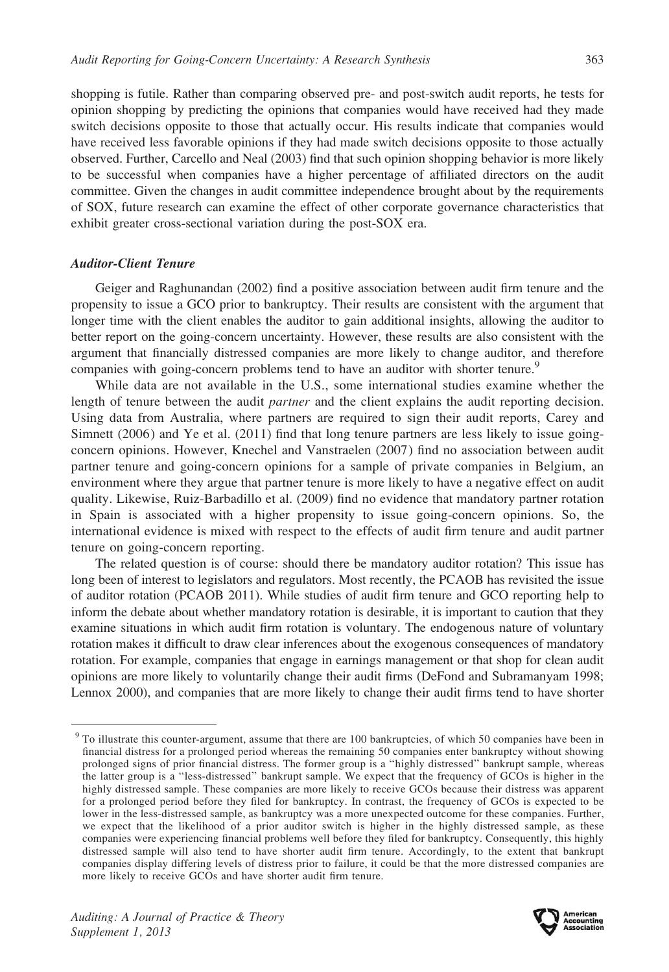shopping is futile. Rather than comparing observed pre- and post-switch audit reports, he tests for opinion shopping by predicting the opinions that companies would have received had they made switch decisions opposite to those that actually occur. His results indicate that companies would have received less favorable opinions if they had made switch decisions opposite to those actually observed. Further, Carcello and Neal (2003) find that such opinion shopping behavior is more likely to be successful when companies have a higher percentage of affiliated directors on the audit committee. Given the changes in audit committee independence brought about by the requirements of SOX, future research can examine the effect of other corporate governance characteristics that exhibit greater cross-sectional variation during the post-SOX era.

# Auditor-Client Tenure

Geiger and Raghunandan (2002) find a positive association between audit firm tenure and the propensity to issue a GCO prior to bankruptcy. Their results are consistent with the argument that longer time with the client enables the auditor to gain additional insights, allowing the auditor to better report on the going-concern uncertainty. However, these results are also consistent with the argument that financially distressed companies are more likely to change auditor, and therefore companies with going-concern problems tend to have an auditor with shorter tenure.<sup>9</sup>

While data are not available in the U.S., some international studies examine whether the length of tenure between the audit *partner* and the client explains the audit reporting decision. Using data from Australia, where partners are required to sign their audit reports, Carey and Simnett (2006) and Ye et al. (2011) find that long tenure partners are less likely to issue goingconcern opinions. However, Knechel and Vanstraelen (2007) find no association between audit partner tenure and going-concern opinions for a sample of private companies in Belgium, an environment where they argue that partner tenure is more likely to have a negative effect on audit quality. Likewise, Ruiz-Barbadillo et al. (2009) find no evidence that mandatory partner rotation in Spain is associated with a higher propensity to issue going-concern opinions. So, the international evidence is mixed with respect to the effects of audit firm tenure and audit partner tenure on going-concern reporting.

The related question is of course: should there be mandatory auditor rotation? This issue has long been of interest to legislators and regulators. Most recently, the PCAOB has revisited the issue of auditor rotation (PCAOB 2011). While studies of audit firm tenure and GCO reporting help to inform the debate about whether mandatory rotation is desirable, it is important to caution that they examine situations in which audit firm rotation is voluntary. The endogenous nature of voluntary rotation makes it difficult to draw clear inferences about the exogenous consequences of mandatory rotation. For example, companies that engage in earnings management or that shop for clean audit opinions are more likely to voluntarily change their audit firms (DeFond and Subramanyam 1998; Lennox 2000), and companies that are more likely to change their audit firms tend to have shorter

<sup>&</sup>lt;sup>9</sup> To illustrate this counter-argument, assume that there are 100 bankruptcies, of which 50 companies have been in financial distress for a prolonged period whereas the remaining 50 companies enter bankruptcy without showing prolonged signs of prior financial distress. The former group is a ''highly distressed'' bankrupt sample, whereas the latter group is a ''less-distressed'' bankrupt sample. We expect that the frequency of GCOs is higher in the highly distressed sample. These companies are more likely to receive GCOs because their distress was apparent for a prolonged period before they filed for bankruptcy. In contrast, the frequency of GCOs is expected to be lower in the less-distressed sample, as bankruptcy was a more unexpected outcome for these companies. Further, we expect that the likelihood of a prior auditor switch is higher in the highly distressed sample, as these companies were experiencing financial problems well before they filed for bankruptcy. Consequently, this highly distressed sample will also tend to have shorter audit firm tenure. Accordingly, to the extent that bankrupt companies display differing levels of distress prior to failure, it could be that the more distressed companies are more likely to receive GCOs and have shorter audit firm tenure.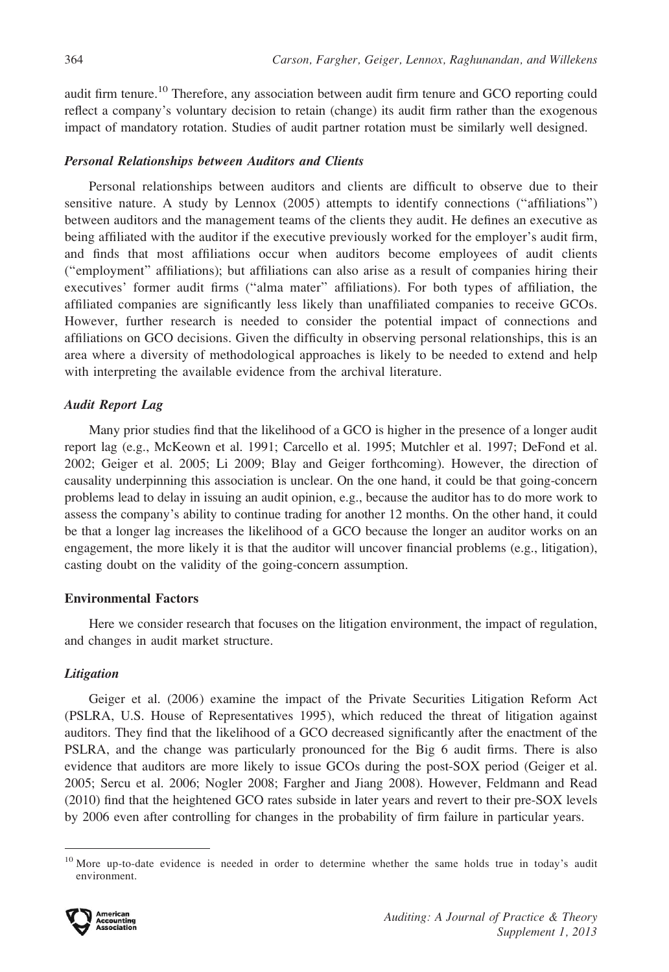audit firm tenure.<sup>10</sup> Therefore, any association between audit firm tenure and GCO reporting could reflect a company's voluntary decision to retain (change) its audit firm rather than the exogenous impact of mandatory rotation. Studies of audit partner rotation must be similarly well designed.

# Personal Relationships between Auditors and Clients

Personal relationships between auditors and clients are difficult to observe due to their sensitive nature. A study by Lennox (2005) attempts to identify connections (''affiliations'') between auditors and the management teams of the clients they audit. He defines an executive as being affiliated with the auditor if the executive previously worked for the employer's audit firm, and finds that most affiliations occur when auditors become employees of audit clients (''employment'' affiliations); but affiliations can also arise as a result of companies hiring their executives' former audit firms (''alma mater'' affiliations). For both types of affiliation, the affiliated companies are significantly less likely than unaffiliated companies to receive GCOs. However, further research is needed to consider the potential impact of connections and affiliations on GCO decisions. Given the difficulty in observing personal relationships, this is an area where a diversity of methodological approaches is likely to be needed to extend and help with interpreting the available evidence from the archival literature.

# Audit Report Lag

Many prior studies find that the likelihood of a GCO is higher in the presence of a longer audit report lag (e.g., McKeown et al. 1991; Carcello et al. 1995; Mutchler et al. 1997; DeFond et al. 2002; Geiger et al. 2005; Li 2009; Blay and Geiger forthcoming). However, the direction of causality underpinning this association is unclear. On the one hand, it could be that going-concern problems lead to delay in issuing an audit opinion, e.g., because the auditor has to do more work to assess the company's ability to continue trading for another 12 months. On the other hand, it could be that a longer lag increases the likelihood of a GCO because the longer an auditor works on an engagement, the more likely it is that the auditor will uncover financial problems (e.g., litigation), casting doubt on the validity of the going-concern assumption.

#### Environmental Factors

Here we consider research that focuses on the litigation environment, the impact of regulation, and changes in audit market structure.

#### **Litigation**

Geiger et al. (2006) examine the impact of the Private Securities Litigation Reform Act (PSLRA, U.S. House of Representatives 1995), which reduced the threat of litigation against auditors. They find that the likelihood of a GCO decreased significantly after the enactment of the PSLRA, and the change was particularly pronounced for the Big 6 audit firms. There is also evidence that auditors are more likely to issue GCOs during the post-SOX period (Geiger et al. 2005; Sercu et al. 2006; Nogler 2008; Fargher and Jiang 2008). However, Feldmann and Read (2010) find that the heightened GCO rates subside in later years and revert to their pre-SOX levels by 2006 even after controlling for changes in the probability of firm failure in particular years.

<sup>&</sup>lt;sup>10</sup> More up-to-date evidence is needed in order to determine whether the same holds true in today's audit environment.

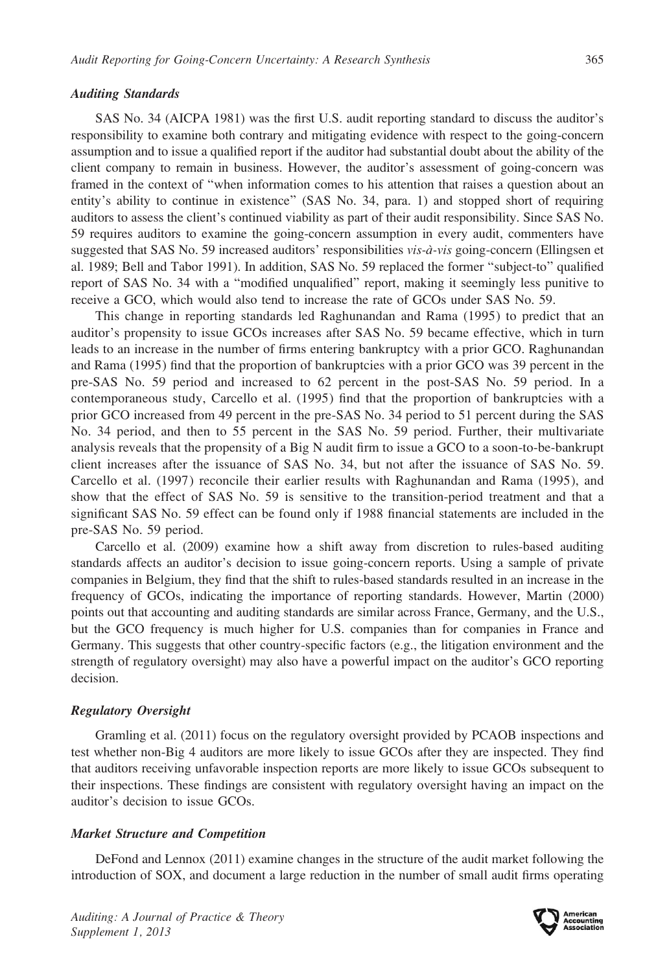#### Auditing Standards

SAS No. 34 (AICPA 1981) was the first U.S. audit reporting standard to discuss the auditor's responsibility to examine both contrary and mitigating evidence with respect to the going-concern assumption and to issue a qualified report if the auditor had substantial doubt about the ability of the client company to remain in business. However, the auditor's assessment of going-concern was framed in the context of ''when information comes to his attention that raises a question about an entity's ability to continue in existence'' (SAS No. 34, para. 1) and stopped short of requiring auditors to assess the client's continued viability as part of their audit responsibility. Since SAS No. 59 requires auditors to examine the going-concern assumption in every audit, commenters have suggested that SAS No. 59 increased auditors' responsibilities vis-à-vis going-concern (Ellingsen et al. 1989; Bell and Tabor 1991). In addition, SAS No. 59 replaced the former ''subject-to'' qualified report of SAS No. 34 with a ''modified unqualified'' report, making it seemingly less punitive to receive a GCO, which would also tend to increase the rate of GCOs under SAS No. 59.

This change in reporting standards led Raghunandan and Rama (1995) to predict that an auditor's propensity to issue GCOs increases after SAS No. 59 became effective, which in turn leads to an increase in the number of firms entering bankruptcy with a prior GCO. Raghunandan and Rama (1995) find that the proportion of bankruptcies with a prior GCO was 39 percent in the pre-SAS No. 59 period and increased to 62 percent in the post-SAS No. 59 period. In a contemporaneous study, Carcello et al. (1995) find that the proportion of bankruptcies with a prior GCO increased from 49 percent in the pre-SAS No. 34 period to 51 percent during the SAS No. 34 period, and then to 55 percent in the SAS No. 59 period. Further, their multivariate analysis reveals that the propensity of a Big N audit firm to issue a GCO to a soon-to-be-bankrupt client increases after the issuance of SAS No. 34, but not after the issuance of SAS No. 59. Carcello et al. (1997) reconcile their earlier results with Raghunandan and Rama (1995), and show that the effect of SAS No. 59 is sensitive to the transition-period treatment and that a significant SAS No. 59 effect can be found only if 1988 financial statements are included in the pre-SAS No. 59 period.

Carcello et al. (2009) examine how a shift away from discretion to rules-based auditing standards affects an auditor's decision to issue going-concern reports. Using a sample of private companies in Belgium, they find that the shift to rules-based standards resulted in an increase in the frequency of GCOs, indicating the importance of reporting standards. However, Martin (2000) points out that accounting and auditing standards are similar across France, Germany, and the U.S., but the GCO frequency is much higher for U.S. companies than for companies in France and Germany. This suggests that other country-specific factors (e.g., the litigation environment and the strength of regulatory oversight) may also have a powerful impact on the auditor's GCO reporting decision.

# Regulatory Oversight

Gramling et al. (2011) focus on the regulatory oversight provided by PCAOB inspections and test whether non-Big 4 auditors are more likely to issue GCOs after they are inspected. They find that auditors receiving unfavorable inspection reports are more likely to issue GCOs subsequent to their inspections. These findings are consistent with regulatory oversight having an impact on the auditor's decision to issue GCOs.

# Market Structure and Competition

DeFond and Lennox (2011) examine changes in the structure of the audit market following the introduction of SOX, and document a large reduction in the number of small audit firms operating

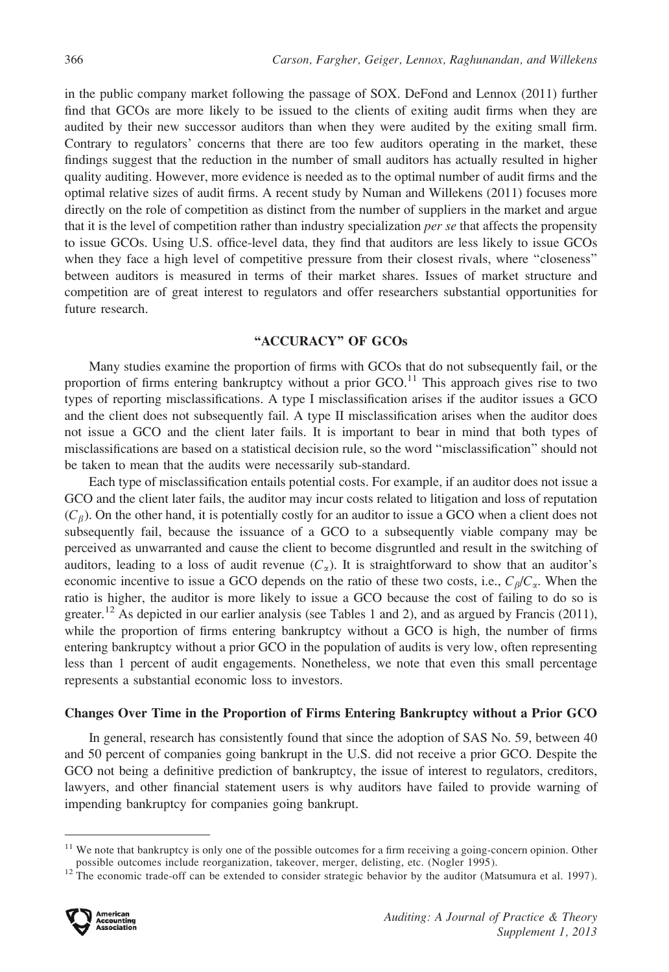in the public company market following the passage of SOX. DeFond and Lennox (2011) further find that GCOs are more likely to be issued to the clients of exiting audit firms when they are audited by their new successor auditors than when they were audited by the exiting small firm. Contrary to regulators' concerns that there are too few auditors operating in the market, these findings suggest that the reduction in the number of small auditors has actually resulted in higher quality auditing. However, more evidence is needed as to the optimal number of audit firms and the optimal relative sizes of audit firms. A recent study by Numan and Willekens (2011) focuses more directly on the role of competition as distinct from the number of suppliers in the market and argue that it is the level of competition rather than industry specialization *per se* that affects the propensity to issue GCOs. Using U.S. office-level data, they find that auditors are less likely to issue GCOs when they face a high level of competitive pressure from their closest rivals, where "closeness" between auditors is measured in terms of their market shares. Issues of market structure and competition are of great interest to regulators and offer researchers substantial opportunities for future research.

# "ACCURACY" OF GCOs

Many studies examine the proportion of firms with GCOs that do not subsequently fail, or the proportion of firms entering bankruptcy without a prior  $GCO<sup>11</sup>$ . This approach gives rise to two types of reporting misclassifications. A type I misclassification arises if the auditor issues a GCO and the client does not subsequently fail. A type II misclassification arises when the auditor does not issue a GCO and the client later fails. It is important to bear in mind that both types of misclassifications are based on a statistical decision rule, so the word ''misclassification'' should not be taken to mean that the audits were necessarily sub-standard.

Each type of misclassification entails potential costs. For example, if an auditor does not issue a GCO and the client later fails, the auditor may incur costs related to litigation and loss of reputation  $(C_\beta)$ . On the other hand, it is potentially costly for an auditor to issue a GCO when a client does not subsequently fail, because the issuance of a GCO to a subsequently viable company may be perceived as unwarranted and cause the client to become disgruntled and result in the switching of auditors, leading to a loss of audit revenue  $(C_{\alpha})$ . It is straightforward to show that an auditor's economic incentive to issue a GCO depends on the ratio of these two costs, i.e.,  $C_{\beta}/C_{\alpha}$ . When the ratio is higher, the auditor is more likely to issue a GCO because the cost of failing to do so is greater.<sup>12</sup> As depicted in our earlier analysis (see Tables 1 and 2), and as argued by Francis (2011), while the proportion of firms entering bankruptcy without a GCO is high, the number of firms entering bankruptcy without a prior GCO in the population of audits is very low, often representing less than 1 percent of audit engagements. Nonetheless, we note that even this small percentage represents a substantial economic loss to investors.

#### Changes Over Time in the Proportion of Firms Entering Bankruptcy without a Prior GCO

In general, research has consistently found that since the adoption of SAS No. 59, between 40 and 50 percent of companies going bankrupt in the U.S. did not receive a prior GCO. Despite the GCO not being a definitive prediction of bankruptcy, the issue of interest to regulators, creditors, lawyers, and other financial statement users is why auditors have failed to provide warning of impending bankruptcy for companies going bankrupt.



 $11$  We note that bankruptcy is only one of the possible outcomes for a firm receiving a going-concern opinion. Other possible outcomes include reorganization, takeover, merger, delisting, etc. (Nogler 1995).<br><sup>12</sup> The economic trade-off can be extended to consider strategic behavior by the auditor (Matsumura et al. 1997).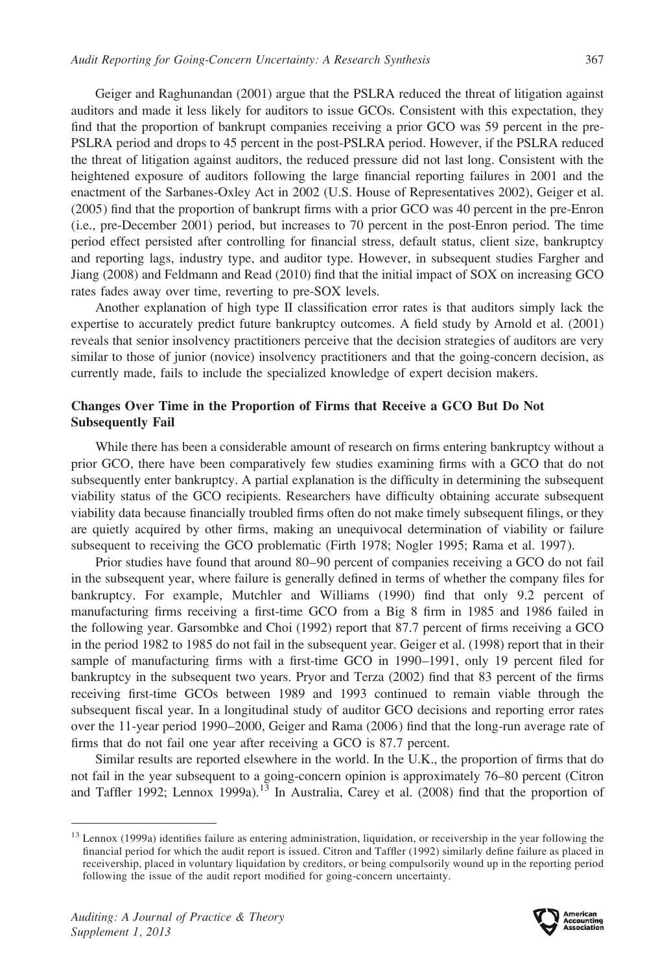Geiger and Raghunandan (2001) argue that the PSLRA reduced the threat of litigation against auditors and made it less likely for auditors to issue GCOs. Consistent with this expectation, they find that the proportion of bankrupt companies receiving a prior GCO was 59 percent in the pre-PSLRA period and drops to 45 percent in the post-PSLRA period. However, if the PSLRA reduced the threat of litigation against auditors, the reduced pressure did not last long. Consistent with the heightened exposure of auditors following the large financial reporting failures in 2001 and the enactment of the Sarbanes-Oxley Act in 2002 (U.S. House of Representatives 2002), Geiger et al. (2005) find that the proportion of bankrupt firms with a prior GCO was 40 percent in the pre-Enron (i.e., pre-December 2001) period, but increases to 70 percent in the post-Enron period. The time period effect persisted after controlling for financial stress, default status, client size, bankruptcy and reporting lags, industry type, and auditor type. However, in subsequent studies Fargher and Jiang (2008) and Feldmann and Read (2010) find that the initial impact of SOX on increasing GCO rates fades away over time, reverting to pre-SOX levels.

Another explanation of high type II classification error rates is that auditors simply lack the expertise to accurately predict future bankruptcy outcomes. A field study by Arnold et al. (2001) reveals that senior insolvency practitioners perceive that the decision strategies of auditors are very similar to those of junior (novice) insolvency practitioners and that the going-concern decision, as currently made, fails to include the specialized knowledge of expert decision makers.

# Changes Over Time in the Proportion of Firms that Receive a GCO But Do Not Subsequently Fail

While there has been a considerable amount of research on firms entering bankruptcy without a prior GCO, there have been comparatively few studies examining firms with a GCO that do not subsequently enter bankruptcy. A partial explanation is the difficulty in determining the subsequent viability status of the GCO recipients. Researchers have difficulty obtaining accurate subsequent viability data because financially troubled firms often do not make timely subsequent filings, or they are quietly acquired by other firms, making an unequivocal determination of viability or failure subsequent to receiving the GCO problematic (Firth 1978; Nogler 1995; Rama et al. 1997).

Prior studies have found that around 80–90 percent of companies receiving a GCO do not fail in the subsequent year, where failure is generally defined in terms of whether the company files for bankruptcy. For example, Mutchler and Williams (1990) find that only 9.2 percent of manufacturing firms receiving a first-time GCO from a Big 8 firm in 1985 and 1986 failed in the following year. Garsombke and Choi (1992) report that 87.7 percent of firms receiving a GCO in the period 1982 to 1985 do not fail in the subsequent year. Geiger et al. (1998) report that in their sample of manufacturing firms with a first-time GCO in 1990–1991, only 19 percent filed for bankruptcy in the subsequent two years. Pryor and Terza (2002) find that 83 percent of the firms receiving first-time GCOs between 1989 and 1993 continued to remain viable through the subsequent fiscal year. In a longitudinal study of auditor GCO decisions and reporting error rates over the 11-year period 1990–2000, Geiger and Rama (2006) find that the long-run average rate of firms that do not fail one year after receiving a GCO is 87.7 percent.

Similar results are reported elsewhere in the world. In the U.K., the proportion of firms that do not fail in the year subsequent to a going-concern opinion is approximately 76–80 percent (Citron and Taffler 1992; Lennox 1999a).<sup>13</sup> In Australia, Carey et al. (2008) find that the proportion of

<sup>&</sup>lt;sup>13</sup> Lennox (1999a) identifies failure as entering administration, liquidation, or receivership in the year following the financial period for which the audit report is issued. Citron and Taffler (1992) similarly define failure as placed in receivership, placed in voluntary liquidation by creditors, or being compulsorily wound up in the reporting period following the issue of the audit report modified for going-concern uncertainty.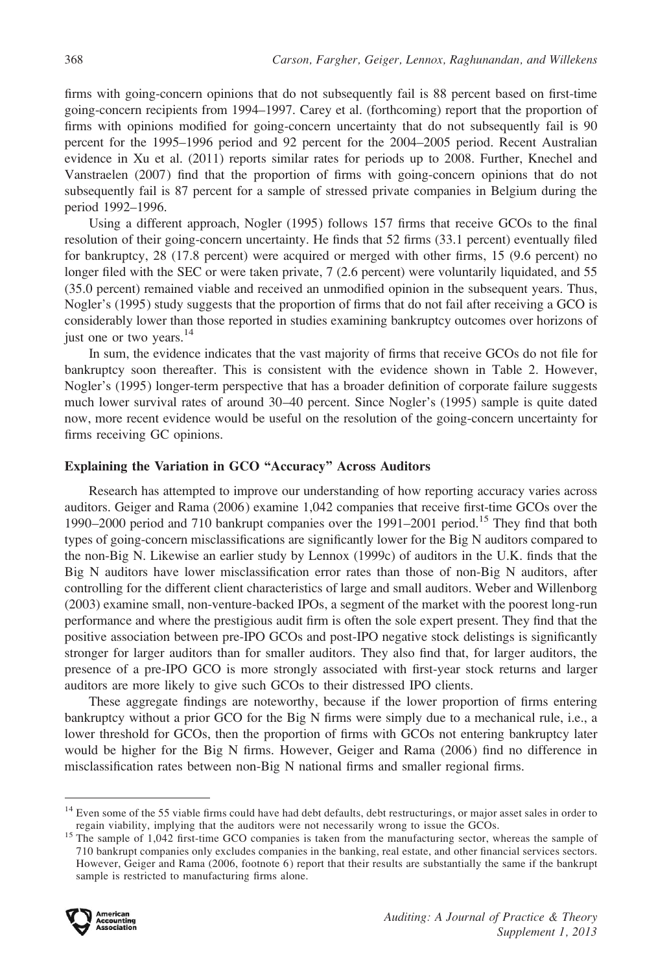firms with going-concern opinions that do not subsequently fail is 88 percent based on first-time going-concern recipients from 1994–1997. Carey et al. (forthcoming) report that the proportion of firms with opinions modified for going-concern uncertainty that do not subsequently fail is 90 percent for the 1995–1996 period and 92 percent for the 2004–2005 period. Recent Australian evidence in Xu et al. (2011) reports similar rates for periods up to 2008. Further, Knechel and Vanstraelen (2007) find that the proportion of firms with going-concern opinions that do not subsequently fail is 87 percent for a sample of stressed private companies in Belgium during the period 1992–1996.

Using a different approach, Nogler (1995) follows 157 firms that receive GCOs to the final resolution of their going-concern uncertainty. He finds that 52 firms (33.1 percent) eventually filed for bankruptcy, 28 (17.8 percent) were acquired or merged with other firms, 15 (9.6 percent) no longer filed with the SEC or were taken private, 7 (2.6 percent) were voluntarily liquidated, and 55 (35.0 percent) remained viable and received an unmodified opinion in the subsequent years. Thus, Nogler's (1995) study suggests that the proportion of firms that do not fail after receiving a GCO is considerably lower than those reported in studies examining bankruptcy outcomes over horizons of just one or two years.<sup>14</sup>

In sum, the evidence indicates that the vast majority of firms that receive GCOs do not file for bankruptcy soon thereafter. This is consistent with the evidence shown in Table 2. However, Nogler's (1995) longer-term perspective that has a broader definition of corporate failure suggests much lower survival rates of around 30–40 percent. Since Nogler's (1995) sample is quite dated now, more recent evidence would be useful on the resolution of the going-concern uncertainty for firms receiving GC opinions.

#### Explaining the Variation in GCO ''Accuracy'' Across Auditors

Research has attempted to improve our understanding of how reporting accuracy varies across auditors. Geiger and Rama (2006) examine 1,042 companies that receive first-time GCOs over the 1990–2000 period and 710 bankrupt companies over the 1991–2001 period.<sup>15</sup> They find that both types of going-concern misclassifications are significantly lower for the Big N auditors compared to the non-Big N. Likewise an earlier study by Lennox (1999c) of auditors in the U.K. finds that the Big N auditors have lower misclassification error rates than those of non-Big N auditors, after controlling for the different client characteristics of large and small auditors. Weber and Willenborg (2003) examine small, non-venture-backed IPOs, a segment of the market with the poorest long-run performance and where the prestigious audit firm is often the sole expert present. They find that the positive association between pre-IPO GCOs and post-IPO negative stock delistings is significantly stronger for larger auditors than for smaller auditors. They also find that, for larger auditors, the presence of a pre-IPO GCO is more strongly associated with first-year stock returns and larger auditors are more likely to give such GCOs to their distressed IPO clients.

These aggregate findings are noteworthy, because if the lower proportion of firms entering bankruptcy without a prior GCO for the Big N firms were simply due to a mechanical rule, i.e., a lower threshold for GCOs, then the proportion of firms with GCOs not entering bankruptcy later would be higher for the Big N firms. However, Geiger and Rama (2006) find no difference in misclassification rates between non-Big N national firms and smaller regional firms.

regain viability, implying that the auditors were not necessarily wrong to issue the GCOs.<br><sup>15</sup> The sample of 1,042 first-time GCO companies is taken from the manufacturing sector, whereas the sample of 710 bankrupt companies only excludes companies in the banking, real estate, and other financial services sectors. However, Geiger and Rama (2006, footnote 6) report that their results are substantially the same if the bankrupt sample is restricted to manufacturing firms alone.



<sup>&</sup>lt;sup>14</sup> Even some of the 55 viable firms could have had debt defaults, debt restructurings, or major asset sales in order to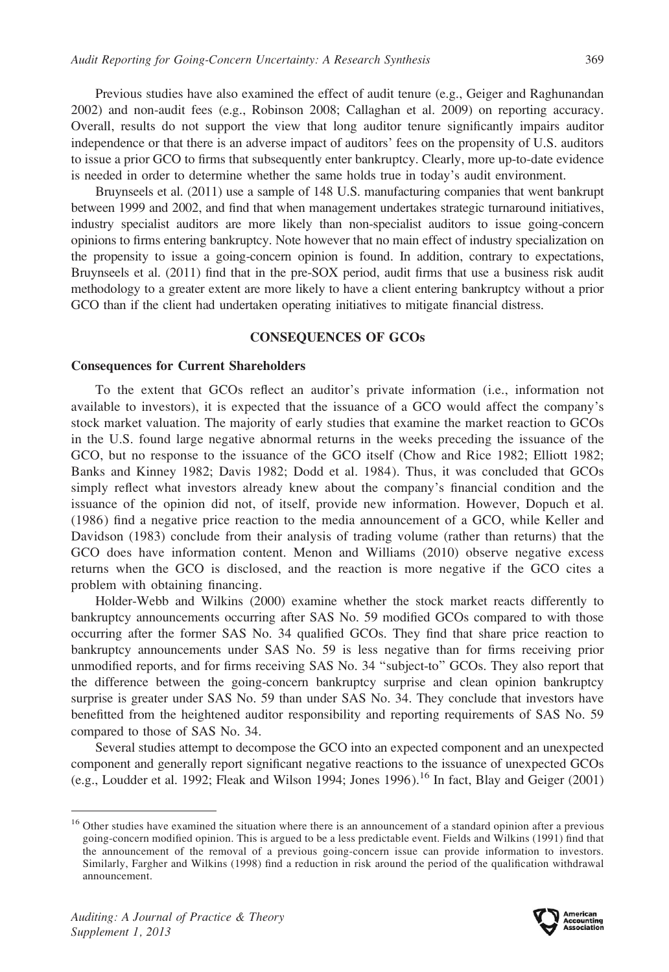Previous studies have also examined the effect of audit tenure (e.g., Geiger and Raghunandan 2002) and non-audit fees (e.g., Robinson 2008; Callaghan et al. 2009) on reporting accuracy. Overall, results do not support the view that long auditor tenure significantly impairs auditor independence or that there is an adverse impact of auditors' fees on the propensity of U.S. auditors to issue a prior GCO to firms that subsequently enter bankruptcy. Clearly, more up-to-date evidence is needed in order to determine whether the same holds true in today's audit environment.

Bruynseels et al. (2011) use a sample of 148 U.S. manufacturing companies that went bankrupt between 1999 and 2002, and find that when management undertakes strategic turnaround initiatives, industry specialist auditors are more likely than non-specialist auditors to issue going-concern opinions to firms entering bankruptcy. Note however that no main effect of industry specialization on the propensity to issue a going-concern opinion is found. In addition, contrary to expectations, Bruynseels et al. (2011) find that in the pre-SOX period, audit firms that use a business risk audit methodology to a greater extent are more likely to have a client entering bankruptcy without a prior GCO than if the client had undertaken operating initiatives to mitigate financial distress.

#### CONSEQUENCES OF GCOs

#### Consequences for Current Shareholders

To the extent that GCOs reflect an auditor's private information (i.e., information not available to investors), it is expected that the issuance of a GCO would affect the company's stock market valuation. The majority of early studies that examine the market reaction to GCOs in the U.S. found large negative abnormal returns in the weeks preceding the issuance of the GCO, but no response to the issuance of the GCO itself (Chow and Rice 1982; Elliott 1982; Banks and Kinney 1982; Davis 1982; Dodd et al. 1984). Thus, it was concluded that GCOs simply reflect what investors already knew about the company's financial condition and the issuance of the opinion did not, of itself, provide new information. However, Dopuch et al. (1986) find a negative price reaction to the media announcement of a GCO, while Keller and Davidson (1983) conclude from their analysis of trading volume (rather than returns) that the GCO does have information content. Menon and Williams (2010) observe negative excess returns when the GCO is disclosed, and the reaction is more negative if the GCO cites a problem with obtaining financing.

Holder-Webb and Wilkins (2000) examine whether the stock market reacts differently to bankruptcy announcements occurring after SAS No. 59 modified GCOs compared to with those occurring after the former SAS No. 34 qualified GCOs. They find that share price reaction to bankruptcy announcements under SAS No. 59 is less negative than for firms receiving prior unmodified reports, and for firms receiving SAS No. 34 ''subject-to'' GCOs. They also report that the difference between the going-concern bankruptcy surprise and clean opinion bankruptcy surprise is greater under SAS No. 59 than under SAS No. 34. They conclude that investors have benefitted from the heightened auditor responsibility and reporting requirements of SAS No. 59 compared to those of SAS No. 34.

Several studies attempt to decompose the GCO into an expected component and an unexpected component and generally report significant negative reactions to the issuance of unexpected GCOs (e.g., Loudder et al. 1992; Fleak and Wilson 1994; Jones 1996).<sup>16</sup> In fact, Blay and Geiger (2001)

<sup>&</sup>lt;sup>16</sup> Other studies have examined the situation where there is an announcement of a standard opinion after a previous going-concern modified opinion. This is argued to be a less predictable event. Fields and Wilkins (1991) find that the announcement of the removal of a previous going-concern issue can provide information to investors. Similarly, Fargher and Wilkins (1998) find a reduction in risk around the period of the qualification withdrawal announcement.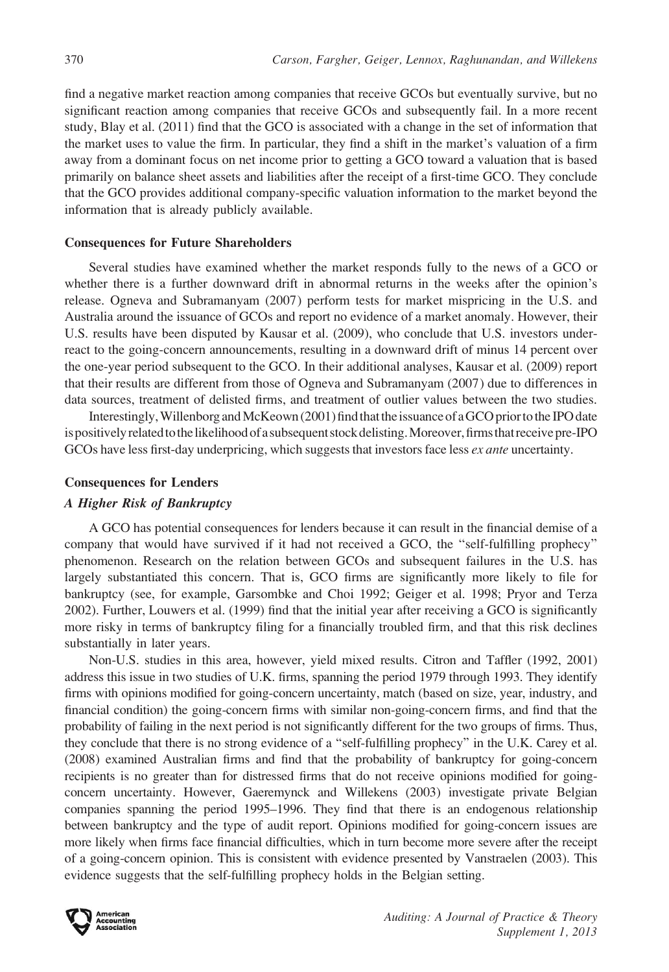find a negative market reaction among companies that receive GCOs but eventually survive, but no significant reaction among companies that receive GCOs and subsequently fail. In a more recent study, Blay et al. (2011) find that the GCO is associated with a change in the set of information that the market uses to value the firm. In particular, they find a shift in the market's valuation of a firm away from a dominant focus on net income prior to getting a GCO toward a valuation that is based primarily on balance sheet assets and liabilities after the receipt of a first-time GCO. They conclude that the GCO provides additional company-specific valuation information to the market beyond the information that is already publicly available.

#### Consequences for Future Shareholders

Several studies have examined whether the market responds fully to the news of a GCO or whether there is a further downward drift in abnormal returns in the weeks after the opinion's release. Ogneva and Subramanyam (2007) perform tests for market mispricing in the U.S. and Australia around the issuance of GCOs and report no evidence of a market anomaly. However, their U.S. results have been disputed by Kausar et al. (2009), who conclude that U.S. investors underreact to the going-concern announcements, resulting in a downward drift of minus 14 percent over the one-year period subsequent to the GCO. In their additional analyses, Kausar et al. (2009) report that their results are different from those of Ogneva and Subramanyam (2007) due to differences in data sources, treatment of delisted firms, and treatment of outlier values between the two studies.

Interestingly, Willenborg and McKeown (2001) find that the issuance of a GCO prior to the IPO date is positively related to the likelihood of a subsequent stock delisting. Moreover, firms that receive pre-IPO GCOs have less first-day underpricing, which suggests that investors face less *ex ante* uncertainty.

# Consequences for Lenders

# A Higher Risk of Bankruptcy

A GCO has potential consequences for lenders because it can result in the financial demise of a company that would have survived if it had not received a GCO, the ''self-fulfilling prophecy'' phenomenon. Research on the relation between GCOs and subsequent failures in the U.S. has largely substantiated this concern. That is, GCO firms are significantly more likely to file for bankruptcy (see, for example, Garsombke and Choi 1992; Geiger et al. 1998; Pryor and Terza 2002). Further, Louwers et al. (1999) find that the initial year after receiving a GCO is significantly more risky in terms of bankruptcy filing for a financially troubled firm, and that this risk declines substantially in later years.

Non-U.S. studies in this area, however, yield mixed results. Citron and Taffler (1992, 2001) address this issue in two studies of U.K. firms, spanning the period 1979 through 1993. They identify firms with opinions modified for going-concern uncertainty, match (based on size, year, industry, and financial condition) the going-concern firms with similar non-going-concern firms, and find that the probability of failing in the next period is not significantly different for the two groups of firms. Thus, they conclude that there is no strong evidence of a ''self-fulfilling prophecy'' in the U.K. Carey et al. (2008) examined Australian firms and find that the probability of bankruptcy for going-concern recipients is no greater than for distressed firms that do not receive opinions modified for goingconcern uncertainty. However, Gaeremynck and Willekens (2003) investigate private Belgian companies spanning the period 1995–1996. They find that there is an endogenous relationship between bankruptcy and the type of audit report. Opinions modified for going-concern issues are more likely when firms face financial difficulties, which in turn become more severe after the receipt of a going-concern opinion. This is consistent with evidence presented by Vanstraelen (2003). This evidence suggests that the self-fulfilling prophecy holds in the Belgian setting.

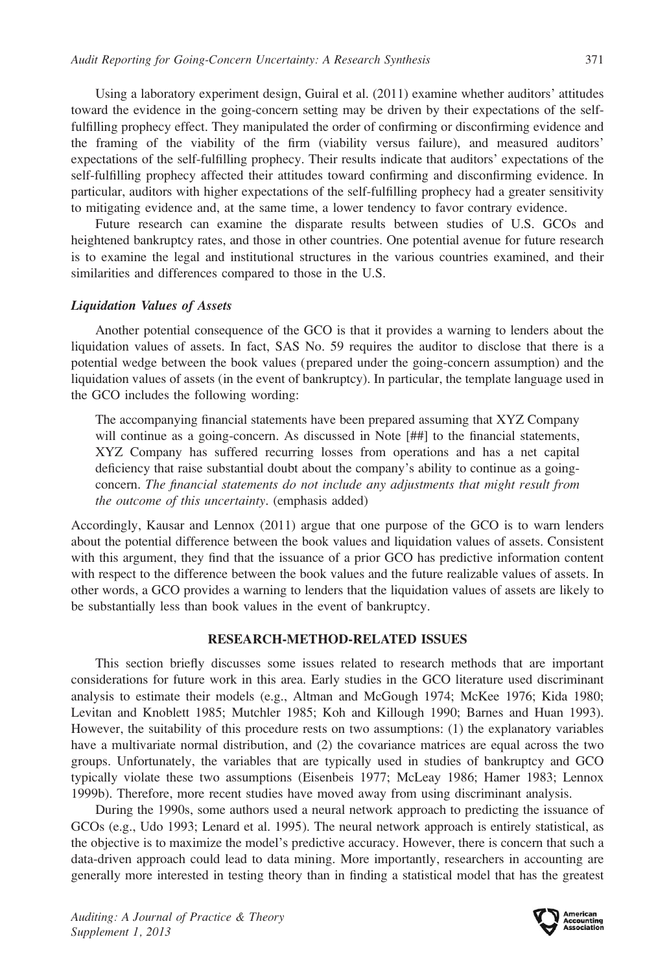Using a laboratory experiment design, Guiral et al. (2011) examine whether auditors' attitudes toward the evidence in the going-concern setting may be driven by their expectations of the selffulfilling prophecy effect. They manipulated the order of confirming or disconfirming evidence and the framing of the viability of the firm (viability versus failure), and measured auditors' expectations of the self-fulfilling prophecy. Their results indicate that auditors' expectations of the self-fulfilling prophecy affected their attitudes toward confirming and disconfirming evidence. In particular, auditors with higher expectations of the self-fulfilling prophecy had a greater sensitivity to mitigating evidence and, at the same time, a lower tendency to favor contrary evidence.

Future research can examine the disparate results between studies of U.S. GCOs and heightened bankruptcy rates, and those in other countries. One potential avenue for future research is to examine the legal and institutional structures in the various countries examined, and their similarities and differences compared to those in the U.S.

# Liquidation Values of Assets

Another potential consequence of the GCO is that it provides a warning to lenders about the liquidation values of assets. In fact, SAS No. 59 requires the auditor to disclose that there is a potential wedge between the book values (prepared under the going-concern assumption) and the liquidation values of assets (in the event of bankruptcy). In particular, the template language used in the GCO includes the following wording:

The accompanying financial statements have been prepared assuming that XYZ Company will continue as a going-concern. As discussed in Note  $[#]$  to the financial statements, XYZ Company has suffered recurring losses from operations and has a net capital deficiency that raise substantial doubt about the company's ability to continue as a goingconcern. The financial statements do not include any adjustments that might result from the outcome of this uncertainty. (emphasis added)

Accordingly, Kausar and Lennox (2011) argue that one purpose of the GCO is to warn lenders about the potential difference between the book values and liquidation values of assets. Consistent with this argument, they find that the issuance of a prior GCO has predictive information content with respect to the difference between the book values and the future realizable values of assets. In other words, a GCO provides a warning to lenders that the liquidation values of assets are likely to be substantially less than book values in the event of bankruptcy.

# RESEARCH-METHOD-RELATED ISSUES

This section briefly discusses some issues related to research methods that are important considerations for future work in this area. Early studies in the GCO literature used discriminant analysis to estimate their models (e.g., Altman and McGough 1974; McKee 1976; Kida 1980; Levitan and Knoblett 1985; Mutchler 1985; Koh and Killough 1990; Barnes and Huan 1993). However, the suitability of this procedure rests on two assumptions: (1) the explanatory variables have a multivariate normal distribution, and (2) the covariance matrices are equal across the two groups. Unfortunately, the variables that are typically used in studies of bankruptcy and GCO typically violate these two assumptions (Eisenbeis 1977; McLeay 1986; Hamer 1983; Lennox 1999b). Therefore, more recent studies have moved away from using discriminant analysis.

During the 1990s, some authors used a neural network approach to predicting the issuance of GCOs (e.g., Udo 1993; Lenard et al. 1995). The neural network approach is entirely statistical, as the objective is to maximize the model's predictive accuracy. However, there is concern that such a data-driven approach could lead to data mining. More importantly, researchers in accounting are generally more interested in testing theory than in finding a statistical model that has the greatest

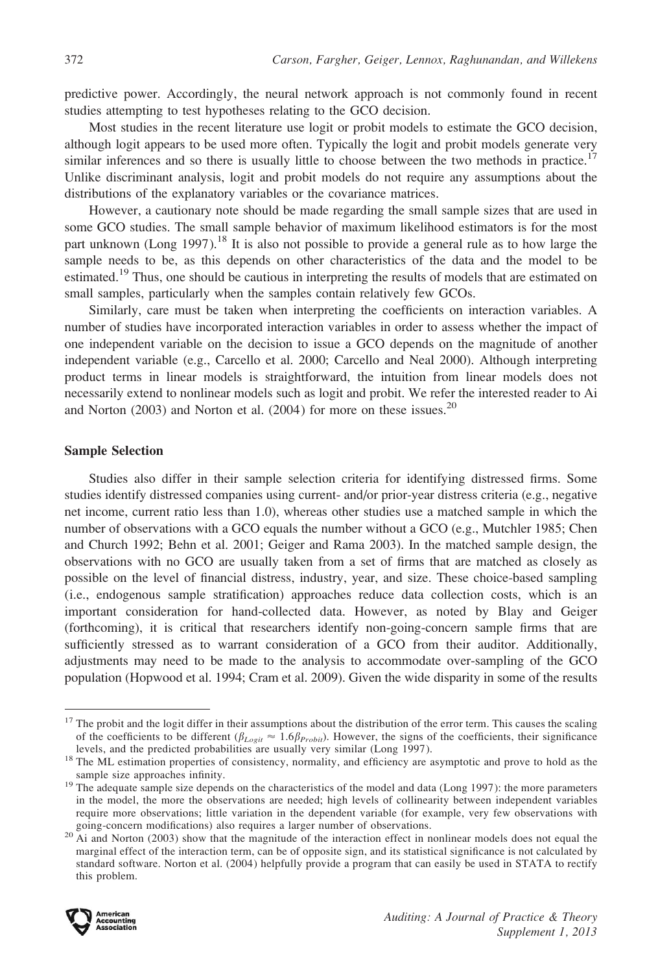predictive power. Accordingly, the neural network approach is not commonly found in recent studies attempting to test hypotheses relating to the GCO decision.

Most studies in the recent literature use logit or probit models to estimate the GCO decision, although logit appears to be used more often. Typically the logit and probit models generate very similar inferences and so there is usually little to choose between the two methods in practice.<sup>17</sup> Unlike discriminant analysis, logit and probit models do not require any assumptions about the distributions of the explanatory variables or the covariance matrices.

However, a cautionary note should be made regarding the small sample sizes that are used in some GCO studies. The small sample behavior of maximum likelihood estimators is for the most part unknown (Long 1997).<sup>18</sup> It is also not possible to provide a general rule as to how large the sample needs to be, as this depends on other characteristics of the data and the model to be estimated.<sup>19</sup> Thus, one should be cautious in interpreting the results of models that are estimated on small samples, particularly when the samples contain relatively few GCOs.

Similarly, care must be taken when interpreting the coefficients on interaction variables. A number of studies have incorporated interaction variables in order to assess whether the impact of one independent variable on the decision to issue a GCO depends on the magnitude of another independent variable (e.g., Carcello et al. 2000; Carcello and Neal 2000). Although interpreting product terms in linear models is straightforward, the intuition from linear models does not necessarily extend to nonlinear models such as logit and probit. We refer the interested reader to Ai and Norton (2003) and Norton et al. (2004) for more on these issues. $^{20}$ 

#### Sample Selection

Studies also differ in their sample selection criteria for identifying distressed firms. Some studies identify distressed companies using current- and/or prior-year distress criteria (e.g., negative net income, current ratio less than 1.0), whereas other studies use a matched sample in which the number of observations with a GCO equals the number without a GCO (e.g., Mutchler 1985; Chen and Church 1992; Behn et al. 2001; Geiger and Rama 2003). In the matched sample design, the observations with no GCO are usually taken from a set of firms that are matched as closely as possible on the level of financial distress, industry, year, and size. These choice-based sampling (i.e., endogenous sample stratification) approaches reduce data collection costs, which is an important consideration for hand-collected data. However, as noted by Blay and Geiger (forthcoming), it is critical that researchers identify non-going-concern sample firms that are sufficiently stressed as to warrant consideration of a GCO from their auditor. Additionally, adjustments may need to be made to the analysis to accommodate over-sampling of the GCO population (Hopwood et al. 1994; Cram et al. 2009). Given the wide disparity in some of the results

 $\frac{20}{20}$  Ai and Norton (2003) show that the magnitude of the interaction effect in nonlinear models does not equal the marginal effect of the interaction term, can be of opposite sign, and its statistical significance is not calculated by standard software. Norton et al. (2004) helpfully provide a program that can easily be used in STATA to rectify this problem.



 $17$  The probit and the logit differ in their assumptions about the distribution of the error term. This causes the scaling of the coefficients to be different ( $\beta_{Logit} \approx 1.6\beta_{Probit}$ ). However, the signs of the coefficients, their significance levels, and the predicted probabilities are usually very similar (Long 1997).

 $18$  The ML estimation properties of consistency, normality, and efficiency are asymptotic and prove to hold as the sample size approaches infinity.

<sup>&</sup>lt;sup>19</sup> The adequate sample size depends on the characteristics of the model and data (Long 1997): the more parameters in the model, the more the observations are needed; high levels of collinearity between independent variables require more observations; little variation in the dependent variable (for example, very few observations with going-concern modifications) also requires a larger number of observations.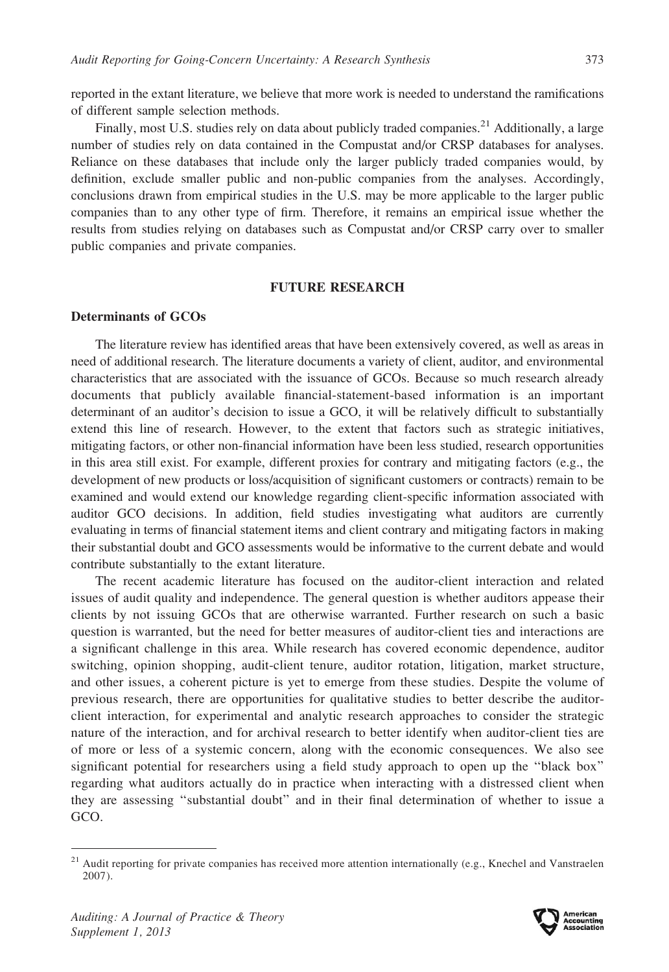reported in the extant literature, we believe that more work is needed to understand the ramifications of different sample selection methods.

Finally, most U.S. studies rely on data about publicly traded companies.<sup>21</sup> Additionally, a large number of studies rely on data contained in the Compustat and/or CRSP databases for analyses. Reliance on these databases that include only the larger publicly traded companies would, by definition, exclude smaller public and non-public companies from the analyses. Accordingly, conclusions drawn from empirical studies in the U.S. may be more applicable to the larger public companies than to any other type of firm. Therefore, it remains an empirical issue whether the results from studies relying on databases such as Compustat and/or CRSP carry over to smaller public companies and private companies.

#### FUTURE RESEARCH

#### Determinants of GCOs

The literature review has identified areas that have been extensively covered, as well as areas in need of additional research. The literature documents a variety of client, auditor, and environmental characteristics that are associated with the issuance of GCOs. Because so much research already documents that publicly available financial-statement-based information is an important determinant of an auditor's decision to issue a GCO, it will be relatively difficult to substantially extend this line of research. However, to the extent that factors such as strategic initiatives, mitigating factors, or other non-financial information have been less studied, research opportunities in this area still exist. For example, different proxies for contrary and mitigating factors (e.g., the development of new products or loss/acquisition of significant customers or contracts) remain to be examined and would extend our knowledge regarding client-specific information associated with auditor GCO decisions. In addition, field studies investigating what auditors are currently evaluating in terms of financial statement items and client contrary and mitigating factors in making their substantial doubt and GCO assessments would be informative to the current debate and would contribute substantially to the extant literature.

The recent academic literature has focused on the auditor-client interaction and related issues of audit quality and independence. The general question is whether auditors appease their clients by not issuing GCOs that are otherwise warranted. Further research on such a basic question is warranted, but the need for better measures of auditor-client ties and interactions are a significant challenge in this area. While research has covered economic dependence, auditor switching, opinion shopping, audit-client tenure, auditor rotation, litigation, market structure, and other issues, a coherent picture is yet to emerge from these studies. Despite the volume of previous research, there are opportunities for qualitative studies to better describe the auditorclient interaction, for experimental and analytic research approaches to consider the strategic nature of the interaction, and for archival research to better identify when auditor-client ties are of more or less of a systemic concern, along with the economic consequences. We also see significant potential for researchers using a field study approach to open up the ''black box'' regarding what auditors actually do in practice when interacting with a distressed client when they are assessing ''substantial doubt'' and in their final determination of whether to issue a GCO.

 $21$  Audit reporting for private companies has received more attention internationally (e.g., Knechel and Vanstraelen 2007).

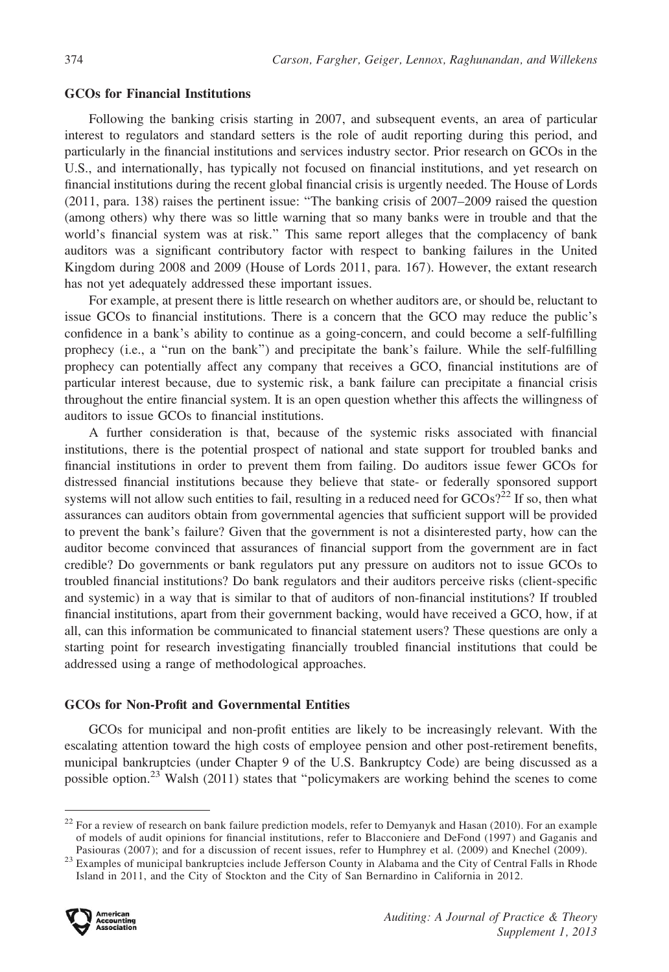#### GCOs for Financial Institutions

Following the banking crisis starting in 2007, and subsequent events, an area of particular interest to regulators and standard setters is the role of audit reporting during this period, and particularly in the financial institutions and services industry sector. Prior research on GCOs in the U.S., and internationally, has typically not focused on financial institutions, and yet research on financial institutions during the recent global financial crisis is urgently needed. The House of Lords (2011, para. 138) raises the pertinent issue: ''The banking crisis of 2007–2009 raised the question (among others) why there was so little warning that so many banks were in trouble and that the world's financial system was at risk.'' This same report alleges that the complacency of bank auditors was a significant contributory factor with respect to banking failures in the United Kingdom during 2008 and 2009 (House of Lords 2011, para. 167). However, the extant research has not yet adequately addressed these important issues.

For example, at present there is little research on whether auditors are, or should be, reluctant to issue GCOs to financial institutions. There is a concern that the GCO may reduce the public's confidence in a bank's ability to continue as a going-concern, and could become a self-fulfilling prophecy (i.e., a ''run on the bank'') and precipitate the bank's failure. While the self-fulfilling prophecy can potentially affect any company that receives a GCO, financial institutions are of particular interest because, due to systemic risk, a bank failure can precipitate a financial crisis throughout the entire financial system. It is an open question whether this affects the willingness of auditors to issue GCOs to financial institutions.

A further consideration is that, because of the systemic risks associated with financial institutions, there is the potential prospect of national and state support for troubled banks and financial institutions in order to prevent them from failing. Do auditors issue fewer GCOs for distressed financial institutions because they believe that state- or federally sponsored support systems will not allow such entities to fail, resulting in a reduced need for  $GCOs$ ?<sup>22</sup> If so, then what assurances can auditors obtain from governmental agencies that sufficient support will be provided to prevent the bank's failure? Given that the government is not a disinterested party, how can the auditor become convinced that assurances of financial support from the government are in fact credible? Do governments or bank regulators put any pressure on auditors not to issue GCOs to troubled financial institutions? Do bank regulators and their auditors perceive risks (client-specific and systemic) in a way that is similar to that of auditors of non-financial institutions? If troubled financial institutions, apart from their government backing, would have received a GCO, how, if at all, can this information be communicated to financial statement users? These questions are only a starting point for research investigating financially troubled financial institutions that could be addressed using a range of methodological approaches.

# GCOs for Non-Profit and Governmental Entities

GCOs for municipal and non-profit entities are likely to be increasingly relevant. With the escalating attention toward the high costs of employee pension and other post-retirement benefits, municipal bankruptcies (under Chapter 9 of the U.S. Bankruptcy Code) are being discussed as a possible option.<sup>23</sup> Walsh (2011) states that "policymakers are working behind the scenes to come

<sup>&</sup>lt;sup>23</sup> Examples of municipal bankruptcies include Jefferson County in Alabama and the City of Central Falls in Rhode Island in 2011, and the City of Stockton and the City of San Bernardino in California in 2012.



 $22$  For a review of research on bank failure prediction models, refer to Demyanyk and Hasan (2010). For an example of models of audit opinions for financial institutions, refer to Blacconiere and DeFond (1997) and Gaganis and<br>Pasiouras (2007); and for a discussion of recent issues, refer to Humphrey et al. (2009) and Knechel (2009).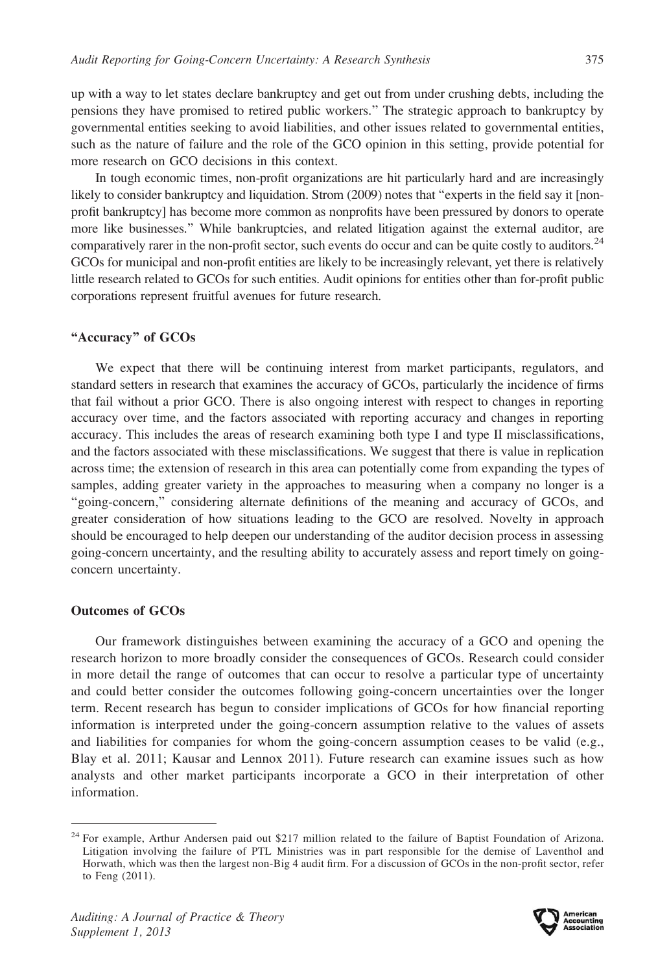up with a way to let states declare bankruptcy and get out from under crushing debts, including the pensions they have promised to retired public workers.'' The strategic approach to bankruptcy by governmental entities seeking to avoid liabilities, and other issues related to governmental entities, such as the nature of failure and the role of the GCO opinion in this setting, provide potential for more research on GCO decisions in this context.

In tough economic times, non-profit organizations are hit particularly hard and are increasingly likely to consider bankruptcy and liquidation. Strom (2009) notes that ''experts in the field say it [nonprofit bankruptcy] has become more common as nonprofits have been pressured by donors to operate more like businesses.'' While bankruptcies, and related litigation against the external auditor, are comparatively rarer in the non-profit sector, such events do occur and can be quite costly to auditors.<sup>24</sup> GCOs for municipal and non-profit entities are likely to be increasingly relevant, yet there is relatively little research related to GCOs for such entities. Audit opinions for entities other than for-profit public corporations represent fruitful avenues for future research.

# "Accuracy" of GCOs

We expect that there will be continuing interest from market participants, regulators, and standard setters in research that examines the accuracy of GCOs, particularly the incidence of firms that fail without a prior GCO. There is also ongoing interest with respect to changes in reporting accuracy over time, and the factors associated with reporting accuracy and changes in reporting accuracy. This includes the areas of research examining both type I and type II misclassifications, and the factors associated with these misclassifications. We suggest that there is value in replication across time; the extension of research in this area can potentially come from expanding the types of samples, adding greater variety in the approaches to measuring when a company no longer is a ''going-concern,'' considering alternate definitions of the meaning and accuracy of GCOs, and greater consideration of how situations leading to the GCO are resolved. Novelty in approach should be encouraged to help deepen our understanding of the auditor decision process in assessing going-concern uncertainty, and the resulting ability to accurately assess and report timely on goingconcern uncertainty.

#### Outcomes of GCOs

Our framework distinguishes between examining the accuracy of a GCO and opening the research horizon to more broadly consider the consequences of GCOs. Research could consider in more detail the range of outcomes that can occur to resolve a particular type of uncertainty and could better consider the outcomes following going-concern uncertainties over the longer term. Recent research has begun to consider implications of GCOs for how financial reporting information is interpreted under the going-concern assumption relative to the values of assets and liabilities for companies for whom the going-concern assumption ceases to be valid (e.g., Blay et al. 2011; Kausar and Lennox 2011). Future research can examine issues such as how analysts and other market participants incorporate a GCO in their interpretation of other information.

<sup>&</sup>lt;sup>24</sup> For example, Arthur Andersen paid out \$217 million related to the failure of Baptist Foundation of Arizona. Litigation involving the failure of PTL Ministries was in part responsible for the demise of Laventhol and Horwath, which was then the largest non-Big 4 audit firm. For a discussion of GCOs in the non-profit sector, refer to Feng (2011).

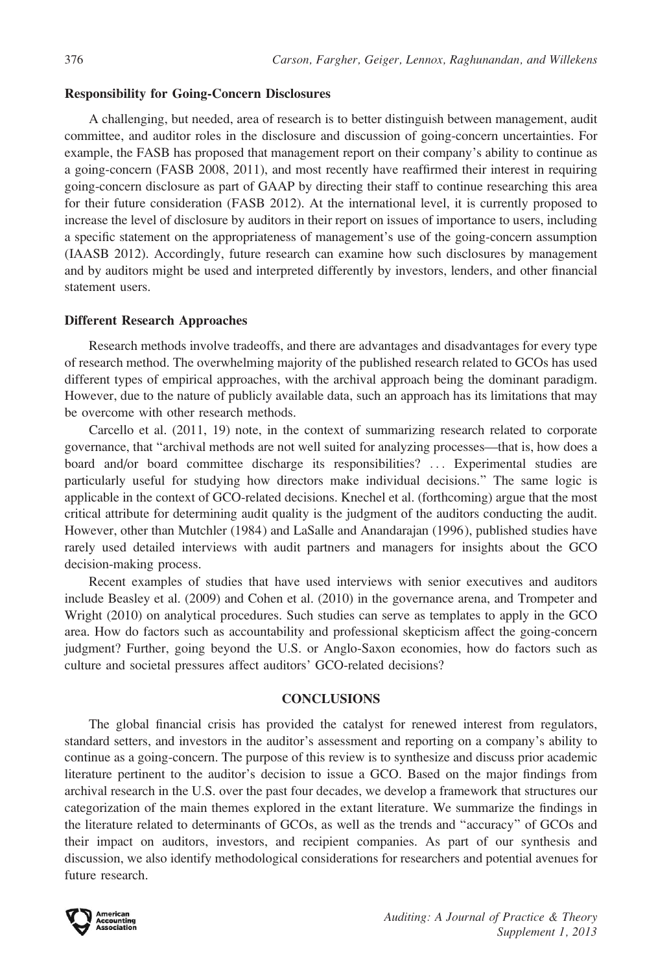#### Responsibility for Going-Concern Disclosures

A challenging, but needed, area of research is to better distinguish between management, audit committee, and auditor roles in the disclosure and discussion of going-concern uncertainties. For example, the FASB has proposed that management report on their company's ability to continue as a going-concern (FASB 2008, 2011), and most recently have reaffirmed their interest in requiring going-concern disclosure as part of GAAP by directing their staff to continue researching this area for their future consideration (FASB 2012). At the international level, it is currently proposed to increase the level of disclosure by auditors in their report on issues of importance to users, including a specific statement on the appropriateness of management's use of the going-concern assumption (IAASB 2012). Accordingly, future research can examine how such disclosures by management and by auditors might be used and interpreted differently by investors, lenders, and other financial statement users.

#### Different Research Approaches

Research methods involve tradeoffs, and there are advantages and disadvantages for every type of research method. The overwhelming majority of the published research related to GCOs has used different types of empirical approaches, with the archival approach being the dominant paradigm. However, due to the nature of publicly available data, such an approach has its limitations that may be overcome with other research methods.

Carcello et al. (2011, 19) note, in the context of summarizing research related to corporate governance, that ''archival methods are not well suited for analyzing processes—that is, how does a board and/or board committee discharge its responsibilities? ... Experimental studies are particularly useful for studying how directors make individual decisions.'' The same logic is applicable in the context of GCO-related decisions. Knechel et al. (forthcoming) argue that the most critical attribute for determining audit quality is the judgment of the auditors conducting the audit. However, other than Mutchler (1984) and LaSalle and Anandarajan (1996), published studies have rarely used detailed interviews with audit partners and managers for insights about the GCO decision-making process.

Recent examples of studies that have used interviews with senior executives and auditors include Beasley et al. (2009) and Cohen et al. (2010) in the governance arena, and Trompeter and Wright (2010) on analytical procedures. Such studies can serve as templates to apply in the GCO area. How do factors such as accountability and professional skepticism affect the going-concern judgment? Further, going beyond the U.S. or Anglo-Saxon economies, how do factors such as culture and societal pressures affect auditors' GCO-related decisions?

#### **CONCLUSIONS**

The global financial crisis has provided the catalyst for renewed interest from regulators, standard setters, and investors in the auditor's assessment and reporting on a company's ability to continue as a going-concern. The purpose of this review is to synthesize and discuss prior academic literature pertinent to the auditor's decision to issue a GCO. Based on the major findings from archival research in the U.S. over the past four decades, we develop a framework that structures our categorization of the main themes explored in the extant literature. We summarize the findings in the literature related to determinants of GCOs, as well as the trends and ''accuracy'' of GCOs and their impact on auditors, investors, and recipient companies. As part of our synthesis and discussion, we also identify methodological considerations for researchers and potential avenues for future research.

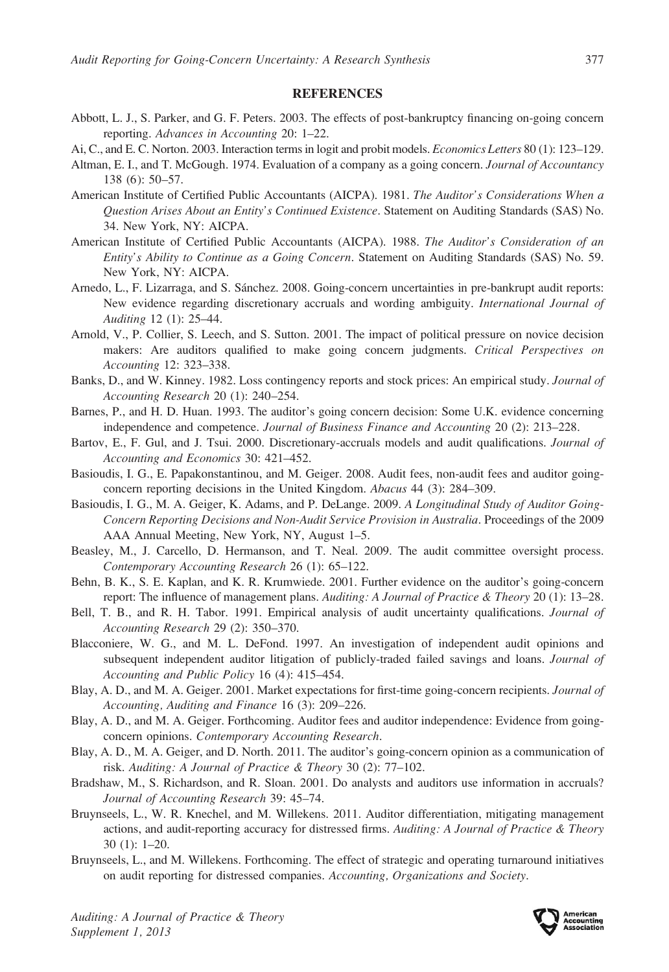#### REFERENCES

- Abbott, L. J., S. Parker, and G. F. Peters. 2003. The effects of post-bankruptcy financing on-going concern reporting. Advances in Accounting 20: 1–22.
- Ai, C., and E. C. Norton. 2003. Interaction terms in logit and probit models. Economics Letters 80 (1): 123–129.
- Altman, E. I., and T. McGough. 1974. Evaluation of a company as a going concern. Journal of Accountancy 138 (6): 50–57.
- American Institute of Certified Public Accountants (AICPA). 1981. The Auditor's Considerations When a Question Arises About an Entity's Continued Existence. Statement on Auditing Standards (SAS) No. 34. New York, NY: AICPA.
- American Institute of Certified Public Accountants (AICPA). 1988. The Auditor's Consideration of an Entity's Ability to Continue as a Going Concern. Statement on Auditing Standards (SAS) No. 59. New York, NY: AICPA.
- Arnedo, L., F. Lizarraga, and S. Sánchez. 2008. Going-concern uncertainties in pre-bankrupt audit reports: New evidence regarding discretionary accruals and wording ambiguity. International Journal of Auditing 12 (1): 25–44.
- Arnold, V., P. Collier, S. Leech, and S. Sutton. 2001. The impact of political pressure on novice decision makers: Are auditors qualified to make going concern judgments. Critical Perspectives on Accounting 12: 323–338.
- Banks, D., and W. Kinney. 1982. Loss contingency reports and stock prices: An empirical study. Journal of Accounting Research 20 (1): 240–254.
- Barnes, P., and H. D. Huan. 1993. The auditor's going concern decision: Some U.K. evidence concerning independence and competence. Journal of Business Finance and Accounting 20 (2): 213–228.
- Bartov, E., F. Gul, and J. Tsui. 2000. Discretionary-accruals models and audit qualifications. Journal of Accounting and Economics 30: 421–452.
- Basioudis, I. G., E. Papakonstantinou, and M. Geiger. 2008. Audit fees, non-audit fees and auditor goingconcern reporting decisions in the United Kingdom. Abacus 44 (3): 284–309.
- Basioudis, I. G., M. A. Geiger, K. Adams, and P. DeLange. 2009. A Longitudinal Study of Auditor Going-Concern Reporting Decisions and Non-Audit Service Provision in Australia. Proceedings of the 2009 AAA Annual Meeting, New York, NY, August 1–5.
- Beasley, M., J. Carcello, D. Hermanson, and T. Neal. 2009. The audit committee oversight process. Contemporary Accounting Research 26 (1): 65–122.
- Behn, B. K., S. E. Kaplan, and K. R. Krumwiede. 2001. Further evidence on the auditor's going-concern report: The influence of management plans. Auditing: A Journal of Practice & Theory 20 (1): 13–28.
- Bell, T. B., and R. H. Tabor. 1991. Empirical analysis of audit uncertainty qualifications. Journal of Accounting Research 29 (2): 350–370.
- Blacconiere, W. G., and M. L. DeFond. 1997. An investigation of independent audit opinions and subsequent independent auditor litigation of publicly-traded failed savings and loans. Journal of Accounting and Public Policy 16 (4): 415–454.
- Blay, A. D., and M. A. Geiger. 2001. Market expectations for first-time going-concern recipients. Journal of Accounting, Auditing and Finance 16 (3): 209–226.
- Blay, A. D., and M. A. Geiger. Forthcoming. Auditor fees and auditor independence: Evidence from goingconcern opinions. Contemporary Accounting Research.
- Blay, A. D., M. A. Geiger, and D. North. 2011. The auditor's going-concern opinion as a communication of risk. Auditing: A Journal of Practice & Theory 30 (2): 77–102.
- Bradshaw, M., S. Richardson, and R. Sloan. 2001. Do analysts and auditors use information in accruals? Journal of Accounting Research 39: 45–74.
- Bruynseels, L., W. R. Knechel, and M. Willekens. 2011. Auditor differentiation, mitigating management actions, and audit-reporting accuracy for distressed firms. Auditing: A Journal of Practice & Theory 30 (1): 1–20.
- Bruynseels, L., and M. Willekens. Forthcoming. The effect of strategic and operating turnaround initiatives on audit reporting for distressed companies. Accounting, Organizations and Society.

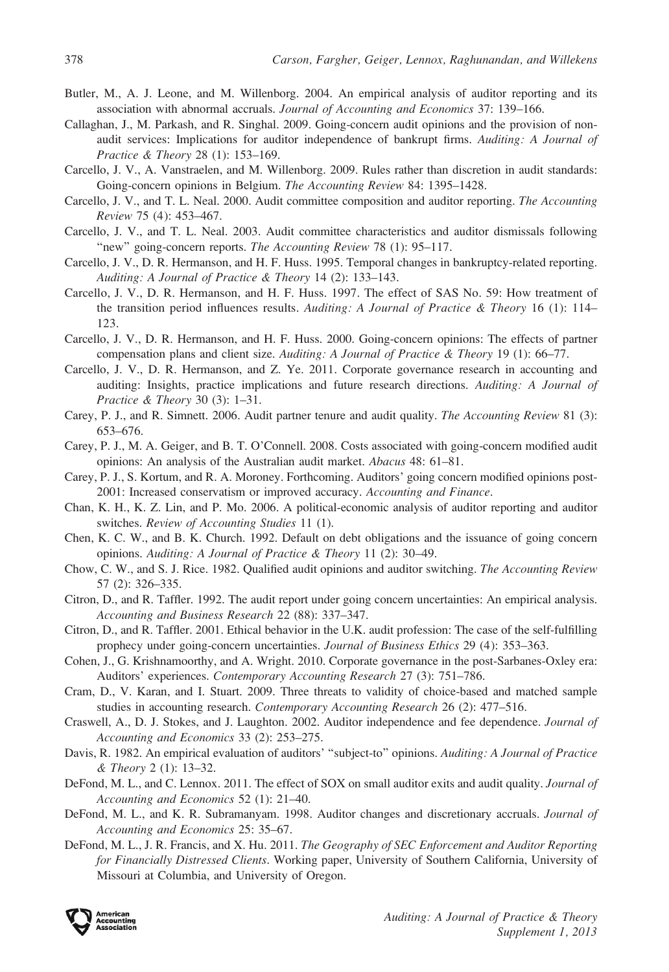- Butler, M., A. J. Leone, and M. Willenborg. 2004. An empirical analysis of auditor reporting and its association with abnormal accruals. Journal of Accounting and Economics 37: 139–166.
- Callaghan, J., M. Parkash, and R. Singhal. 2009. Going-concern audit opinions and the provision of nonaudit services: Implications for auditor independence of bankrupt firms. Auditing: A Journal of Practice & Theory 28 (1): 153–169.
- Carcello, J. V., A. Vanstraelen, and M. Willenborg. 2009. Rules rather than discretion in audit standards: Going-concern opinions in Belgium. The Accounting Review 84: 1395–1428.
- Carcello, J. V., and T. L. Neal. 2000. Audit committee composition and auditor reporting. The Accounting Review 75 (4): 453–467.
- Carcello, J. V., and T. L. Neal. 2003. Audit committee characteristics and auditor dismissals following "new" going-concern reports. The Accounting Review 78 (1): 95–117.
- Carcello, J. V., D. R. Hermanson, and H. F. Huss. 1995. Temporal changes in bankruptcy-related reporting. Auditing: A Journal of Practice & Theory 14 (2): 133–143.
- Carcello, J. V., D. R. Hermanson, and H. F. Huss. 1997. The effect of SAS No. 59: How treatment of the transition period influences results. Auditing: A Journal of Practice & Theory 16 (1):  $114-$ 123.
- Carcello, J. V., D. R. Hermanson, and H. F. Huss. 2000. Going-concern opinions: The effects of partner compensation plans and client size. Auditing: A Journal of Practice & Theory 19 (1): 66–77.
- Carcello, J. V., D. R. Hermanson, and Z. Ye. 2011. Corporate governance research in accounting and auditing: Insights, practice implications and future research directions. Auditing: A Journal of Practice & Theory 30 (3): 1–31.
- Carey, P. J., and R. Simnett. 2006. Audit partner tenure and audit quality. The Accounting Review 81 (3): 653–676.
- Carey, P. J., M. A. Geiger, and B. T. O'Connell. 2008. Costs associated with going-concern modified audit opinions: An analysis of the Australian audit market. Abacus 48: 61–81.
- Carey, P. J., S. Kortum, and R. A. Moroney. Forthcoming. Auditors' going concern modified opinions post-2001: Increased conservatism or improved accuracy. Accounting and Finance.
- Chan, K. H., K. Z. Lin, and P. Mo. 2006. A political-economic analysis of auditor reporting and auditor switches. Review of Accounting Studies 11 (1).
- Chen, K. C. W., and B. K. Church. 1992. Default on debt obligations and the issuance of going concern opinions. Auditing: A Journal of Practice & Theory 11 (2): 30–49.
- Chow, C. W., and S. J. Rice. 1982. Qualified audit opinions and auditor switching. The Accounting Review 57 (2): 326–335.
- Citron, D., and R. Taffler. 1992. The audit report under going concern uncertainties: An empirical analysis. Accounting and Business Research 22 (88): 337–347.
- Citron, D., and R. Taffler. 2001. Ethical behavior in the U.K. audit profession: The case of the self-fulfilling prophecy under going-concern uncertainties. Journal of Business Ethics 29 (4): 353–363.
- Cohen, J., G. Krishnamoorthy, and A. Wright. 2010. Corporate governance in the post-Sarbanes-Oxley era: Auditors' experiences. Contemporary Accounting Research 27 (3): 751–786.
- Cram, D., V. Karan, and I. Stuart. 2009. Three threats to validity of choice-based and matched sample studies in accounting research. Contemporary Accounting Research 26 (2): 477–516.
- Craswell, A., D. J. Stokes, and J. Laughton. 2002. Auditor independence and fee dependence. Journal of Accounting and Economics 33 (2): 253–275.
- Davis, R. 1982. An empirical evaluation of auditors' "subject-to" opinions. Auditing: A Journal of Practice & Theory 2 (1): 13–32.
- DeFond, M. L., and C. Lennox. 2011. The effect of SOX on small auditor exits and audit quality. Journal of Accounting and Economics 52 (1): 21–40.
- DeFond, M. L., and K. R. Subramanyam. 1998. Auditor changes and discretionary accruals. Journal of Accounting and Economics 25: 35–67.
- DeFond, M. L., J. R. Francis, and X. Hu. 2011. The Geography of SEC Enforcement and Auditor Reporting for Financially Distressed Clients. Working paper, University of Southern California, University of Missouri at Columbia, and University of Oregon.

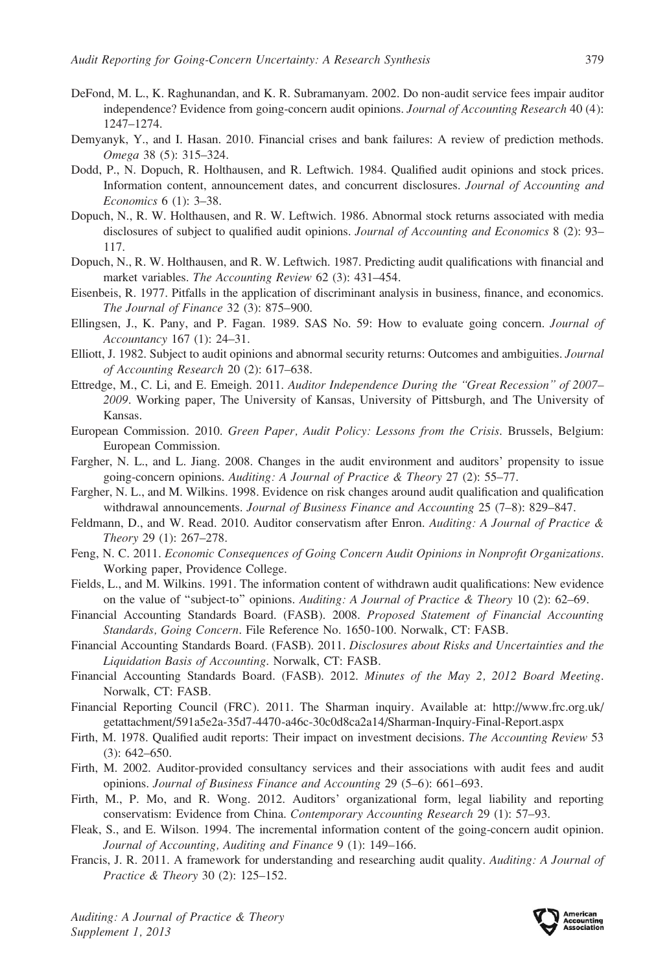- DeFond, M. L., K. Raghunandan, and K. R. Subramanyam. 2002. Do non-audit service fees impair auditor independence? Evidence from going-concern audit opinions. Journal of Accounting Research 40 (4): 1247–1274.
- Demyanyk, Y., and I. Hasan. 2010. Financial crises and bank failures: A review of prediction methods. Omega 38 (5): 315–324.
- Dodd, P., N. Dopuch, R. Holthausen, and R. Leftwich. 1984. Qualified audit opinions and stock prices. Information content, announcement dates, and concurrent disclosures. Journal of Accounting and Economics 6 (1): 3–38.
- Dopuch, N., R. W. Holthausen, and R. W. Leftwich. 1986. Abnormal stock returns associated with media disclosures of subject to qualified audit opinions. Journal of Accounting and Economics 8 (2): 93– 117.
- Dopuch, N., R. W. Holthausen, and R. W. Leftwich. 1987. Predicting audit qualifications with financial and market variables. The Accounting Review 62 (3): 431–454.
- Eisenbeis, R. 1977. Pitfalls in the application of discriminant analysis in business, finance, and economics. The Journal of Finance 32 (3): 875–900.
- Ellingsen, J., K. Pany, and P. Fagan. 1989. SAS No. 59: How to evaluate going concern. *Journal of* Accountancy 167 (1): 24–31.
- Elliott, J. 1982. Subject to audit opinions and abnormal security returns: Outcomes and ambiguities. Journal of Accounting Research 20 (2): 617–638.
- Ettredge, M., C. Li, and E. Emeigh. 2011. Auditor Independence During the ''Great Recession'' of 2007– 2009. Working paper, The University of Kansas, University of Pittsburgh, and The University of Kansas.
- European Commission. 2010. Green Paper, Audit Policy: Lessons from the Crisis. Brussels, Belgium: European Commission.
- Fargher, N. L., and L. Jiang. 2008. Changes in the audit environment and auditors' propensity to issue going-concern opinions. Auditing: A Journal of Practice & Theory 27 (2): 55–77.
- Fargher, N. L., and M. Wilkins. 1998. Evidence on risk changes around audit qualification and qualification withdrawal announcements. Journal of Business Finance and Accounting 25 (7-8): 829-847.
- Feldmann, D., and W. Read. 2010. Auditor conservatism after Enron. Auditing: A Journal of Practice & Theory 29 (1): 267–278.
- Feng, N. C. 2011. Economic Consequences of Going Concern Audit Opinions in Nonprofit Organizations. Working paper, Providence College.
- Fields, L., and M. Wilkins. 1991. The information content of withdrawn audit qualifications: New evidence on the value of ''subject-to'' opinions. Auditing: A Journal of Practice & Theory 10 (2): 62–69.
- Financial Accounting Standards Board. (FASB). 2008. Proposed Statement of Financial Accounting Standards, Going Concern. File Reference No. 1650-100. Norwalk, CT: FASB.
- Financial Accounting Standards Board. (FASB). 2011. Disclosures about Risks and Uncertainties and the Liquidation Basis of Accounting. Norwalk, CT: FASB.
- Financial Accounting Standards Board. (FASB). 2012. Minutes of the May 2, 2012 Board Meeting. Norwalk, CT: FASB.
- Financial Reporting Council (FRC). 2011. The Sharman inquiry. Available at: http://www.frc.org.uk/ getattachment/591a5e2a-35d7-4470-a46c-30c0d8ca2a14/Sharman-Inquiry-Final-Report.aspx
- Firth, M. 1978. Qualified audit reports: Their impact on investment decisions. The Accounting Review 53 (3): 642–650.
- Firth, M. 2002. Auditor-provided consultancy services and their associations with audit fees and audit opinions. Journal of Business Finance and Accounting 29 (5–6): 661–693.
- Firth, M., P. Mo, and R. Wong. 2012. Auditors' organizational form, legal liability and reporting conservatism: Evidence from China. Contemporary Accounting Research 29 (1): 57–93.
- Fleak, S., and E. Wilson. 1994. The incremental information content of the going-concern audit opinion. Journal of Accounting, Auditing and Finance 9 (1): 149–166.
- Francis, J. R. 2011. A framework for understanding and researching audit quality. Auditing: A Journal of Practice & Theory 30 (2): 125–152.

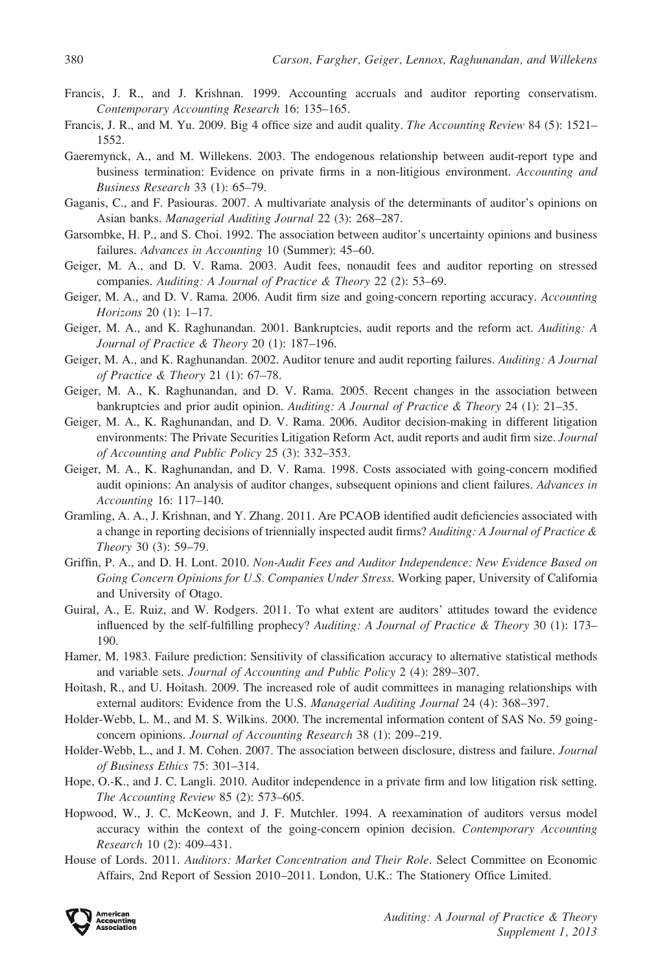- Francis, J. R., and J. Krishnan. 1999. Accounting accruals and auditor reporting conservatism. Contemporary Accounting Research 16: 135–165.
- Francis, J. R., and M. Yu. 2009. Big 4 office size and audit quality. The Accounting Review 84 (5): 1521– 1552.
- Gaeremynck, A., and M. Willekens. 2003. The endogenous relationship between audit-report type and business termination: Evidence on private firms in a non-litigious environment. Accounting and Business Research 33 (1): 65–79.
- Gaganis, C., and F. Pasiouras. 2007. A multivariate analysis of the determinants of auditor's opinions on Asian banks. Managerial Auditing Journal 22 (3): 268–287.
- Garsombke, H. P., and S. Choi. 1992. The association between auditor's uncertainty opinions and business failures. Advances in Accounting 10 (Summer): 45–60.
- Geiger, M. A., and D. V. Rama. 2003. Audit fees, nonaudit fees and auditor reporting on stressed companies. Auditing: A Journal of Practice & Theory 22 (2): 53–69.
- Geiger, M. A., and D. V. Rama. 2006. Audit firm size and going-concern reporting accuracy. Accounting Horizons 20 (1): 1–17.
- Geiger, M. A., and K. Raghunandan. 2001. Bankruptcies, audit reports and the reform act. Auditing: A Journal of Practice & Theory 20 (1): 187–196.
- Geiger, M. A., and K. Raghunandan. 2002. Auditor tenure and audit reporting failures. Auditing: A Journal of Practice & Theory 21 (1): 67–78.
- Geiger, M. A., K. Raghunandan, and D. V. Rama. 2005. Recent changes in the association between bankruptcies and prior audit opinion. Auditing: A Journal of Practice & Theory 24 (1): 21–35.
- Geiger, M. A., K. Raghunandan, and D. V. Rama. 2006. Auditor decision-making in different litigation environments: The Private Securities Litigation Reform Act, audit reports and audit firm size. Journal of Accounting and Public Policy 25 (3): 332–353.
- Geiger, M. A., K. Raghunandan, and D. V. Rama. 1998. Costs associated with going-concern modified audit opinions: An analysis of auditor changes, subsequent opinions and client failures. Advances in Accounting 16: 117–140.
- Gramling, A. A., J. Krishnan, and Y. Zhang. 2011. Are PCAOB identified audit deficiencies associated with a change in reporting decisions of triennially inspected audit firms? Auditing: A Journal of Practice & Theory 30 (3): 59–79.
- Griffin, P. A., and D. H. Lont. 2010. Non-Audit Fees and Auditor Independence: New Evidence Based on Going Concern Opinions for U.S. Companies Under Stress. Working paper, University of California and University of Otago.
- Guiral, A., E. Ruiz, and W. Rodgers. 2011. To what extent are auditors' attitudes toward the evidence influenced by the self-fulfilling prophecy? Auditing: A Journal of Practice & Theory 30 (1): 173– 190.
- Hamer, M. 1983. Failure prediction: Sensitivity of classification accuracy to alternative statistical methods and variable sets. Journal of Accounting and Public Policy 2 (4): 289–307.
- Hoitash, R., and U. Hoitash. 2009. The increased role of audit committees in managing relationships with external auditors: Evidence from the U.S. Managerial Auditing Journal 24 (4): 368–397.
- Holder-Webb, L. M., and M. S. Wilkins. 2000. The incremental information content of SAS No. 59 goingconcern opinions. Journal of Accounting Research 38 (1): 209–219.
- Holder-Webb, L., and J. M. Cohen. 2007. The association between disclosure, distress and failure. Journal of Business Ethics 75: 301–314.
- Hope, O.-K., and J. C. Langli. 2010. Auditor independence in a private firm and low litigation risk setting. The Accounting Review 85 (2): 573–605.
- Hopwood, W., J. C. McKeown, and J. F. Mutchler. 1994. A reexamination of auditors versus model accuracy within the context of the going-concern opinion decision. Contemporary Accounting Research 10 (2): 409–431.
- House of Lords. 2011. Auditors: Market Concentration and Their Role. Select Committee on Economic Affairs, 2nd Report of Session 2010–2011. London, U.K.: The Stationery Office Limited.

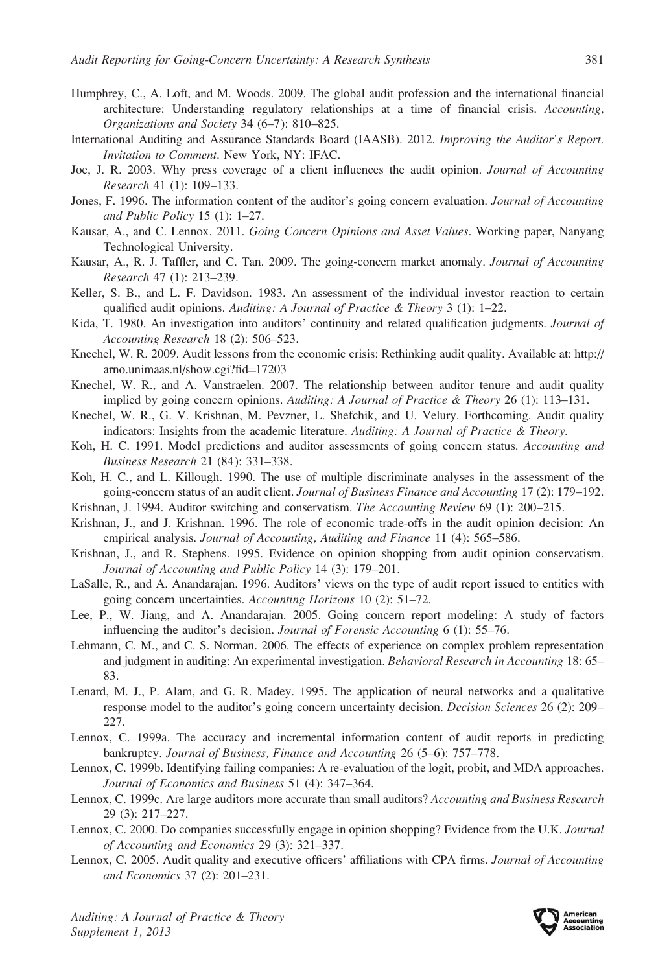- Humphrey, C., A. Loft, and M. Woods. 2009. The global audit profession and the international financial architecture: Understanding regulatory relationships at a time of financial crisis. Accounting, Organizations and Society 34 (6–7): 810–825.
- International Auditing and Assurance Standards Board (IAASB). 2012. Improving the Auditor's Report. Invitation to Comment. New York, NY: IFAC.
- Joe, J. R. 2003. Why press coverage of a client influences the audit opinion. Journal of Accounting Research 41 (1): 109–133.
- Jones, F. 1996. The information content of the auditor's going concern evaluation. Journal of Accounting and Public Policy 15 (1): 1–27.
- Kausar, A., and C. Lennox. 2011. Going Concern Opinions and Asset Values. Working paper, Nanyang Technological University.
- Kausar, A., R. J. Taffler, and C. Tan. 2009. The going-concern market anomaly. Journal of Accounting Research 47 (1): 213–239.
- Keller, S. B., and L. F. Davidson. 1983. An assessment of the individual investor reaction to certain qualified audit opinions. Auditing: A Journal of Practice & Theory 3 (1): 1–22.
- Kida, T. 1980. An investigation into auditors' continuity and related qualification judgments. Journal of Accounting Research 18 (2): 506–523.
- Knechel, W. R. 2009. Audit lessons from the economic crisis: Rethinking audit quality. Available at: http:// arno.unimaas.nl/show.cgi?fid=17203
- Knechel, W. R., and A. Vanstraelen. 2007. The relationship between auditor tenure and audit quality implied by going concern opinions. Auditing: A Journal of Practice & Theory 26 (1): 113–131.
- Knechel, W. R., G. V. Krishnan, M. Pevzner, L. Shefchik, and U. Velury. Forthcoming. Audit quality indicators: Insights from the academic literature. Auditing: A Journal of Practice & Theory.
- Koh, H. C. 1991. Model predictions and auditor assessments of going concern status. Accounting and Business Research 21 (84): 331–338.
- Koh, H. C., and L. Killough. 1990. The use of multiple discriminate analyses in the assessment of the going-concern status of an audit client. Journal of Business Finance and Accounting 17 (2): 179–192.
- Krishnan, J. 1994. Auditor switching and conservatism. The Accounting Review 69 (1): 200-215.
- Krishnan, J., and J. Krishnan. 1996. The role of economic trade-offs in the audit opinion decision: An empirical analysis. Journal of Accounting, Auditing and Finance 11 (4): 565-586.
- Krishnan, J., and R. Stephens. 1995. Evidence on opinion shopping from audit opinion conservatism. Journal of Accounting and Public Policy 14 (3): 179–201.
- LaSalle, R., and A. Anandarajan. 1996. Auditors' views on the type of audit report issued to entities with going concern uncertainties. Accounting Horizons 10 (2): 51–72.
- Lee, P., W. Jiang, and A. Anandarajan. 2005. Going concern report modeling: A study of factors influencing the auditor's decision. Journal of Forensic Accounting 6 (1): 55–76.
- Lehmann, C. M., and C. S. Norman. 2006. The effects of experience on complex problem representation and judgment in auditing: An experimental investigation. Behavioral Research in Accounting 18: 65– 83.
- Lenard, M. J., P. Alam, and G. R. Madey. 1995. The application of neural networks and a qualitative response model to the auditor's going concern uncertainty decision. Decision Sciences 26 (2): 209– 227.
- Lennox, C. 1999a. The accuracy and incremental information content of audit reports in predicting bankruptcy. Journal of Business, Finance and Accounting 26 (5–6): 757–778.
- Lennox, C. 1999b. Identifying failing companies: A re-evaluation of the logit, probit, and MDA approaches. Journal of Economics and Business 51 (4): 347–364.
- Lennox, C. 1999c. Are large auditors more accurate than small auditors? Accounting and Business Research 29 (3): 217–227.
- Lennox, C. 2000. Do companies successfully engage in opinion shopping? Evidence from the U.K. *Journal* of Accounting and Economics 29 (3): 321–337.
- Lennox, C. 2005. Audit quality and executive officers' affiliations with CPA firms. Journal of Accounting and Economics 37 (2): 201–231.



Auditing: A Journal of Practice & Theory Supplement 1, 2013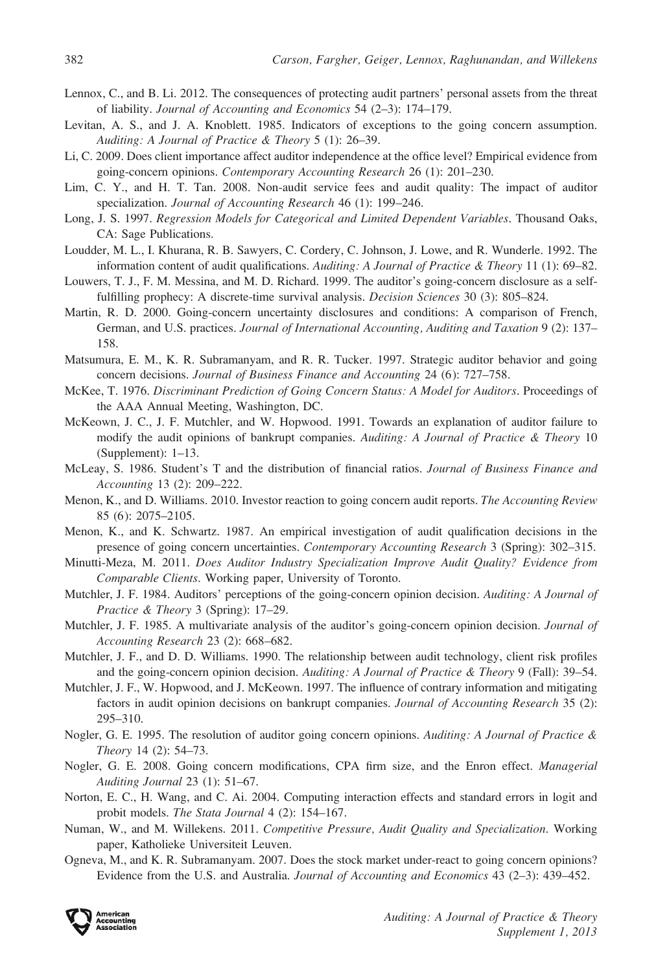- Lennox, C., and B. Li. 2012. The consequences of protecting audit partners' personal assets from the threat of liability. Journal of Accounting and Economics 54 (2–3): 174–179.
- Levitan, A. S., and J. A. Knoblett. 1985. Indicators of exceptions to the going concern assumption. Auditing: A Journal of Practice & Theory 5 (1): 26–39.
- Li, C. 2009. Does client importance affect auditor independence at the office level? Empirical evidence from going-concern opinions. Contemporary Accounting Research 26 (1): 201–230.
- Lim, C. Y., and H. T. Tan. 2008. Non-audit service fees and audit quality: The impact of auditor specialization. Journal of Accounting Research 46 (1): 199–246.
- Long, J. S. 1997. Regression Models for Categorical and Limited Dependent Variables. Thousand Oaks, CA: Sage Publications.
- Loudder, M. L., I. Khurana, R. B. Sawyers, C. Cordery, C. Johnson, J. Lowe, and R. Wunderle. 1992. The information content of audit qualifications. Auditing: A Journal of Practice & Theory 11 (1): 69–82.
- Louwers, T. J., F. M. Messina, and M. D. Richard. 1999. The auditor's going-concern disclosure as a selffulfilling prophecy: A discrete-time survival analysis. *Decision Sciences* 30 (3): 805–824.
- Martin, R. D. 2000. Going-concern uncertainty disclosures and conditions: A comparison of French, German, and U.S. practices. Journal of International Accounting, Auditing and Taxation 9 (2): 137– 158.
- Matsumura, E. M., K. R. Subramanyam, and R. R. Tucker. 1997. Strategic auditor behavior and going concern decisions. Journal of Business Finance and Accounting 24 (6): 727–758.
- McKee, T. 1976. Discriminant Prediction of Going Concern Status: A Model for Auditors. Proceedings of the AAA Annual Meeting, Washington, DC.
- McKeown, J. C., J. F. Mutchler, and W. Hopwood. 1991. Towards an explanation of auditor failure to modify the audit opinions of bankrupt companies. Auditing: A Journal of Practice & Theory 10 (Supplement): 1–13.
- McLeay, S. 1986. Student's T and the distribution of financial ratios. Journal of Business Finance and Accounting 13 (2): 209–222.
- Menon, K., and D. Williams. 2010. Investor reaction to going concern audit reports. The Accounting Review 85 (6): 2075–2105.
- Menon, K., and K. Schwartz. 1987. An empirical investigation of audit qualification decisions in the presence of going concern uncertainties. Contemporary Accounting Research 3 (Spring): 302–315.
- Minutti-Meza, M. 2011. Does Auditor Industry Specialization Improve Audit Quality? Evidence from Comparable Clients. Working paper, University of Toronto.
- Mutchler, J. F. 1984. Auditors' perceptions of the going-concern opinion decision. Auditing: A Journal of Practice & Theory 3 (Spring): 17–29.
- Mutchler, J. F. 1985. A multivariate analysis of the auditor's going-concern opinion decision. Journal of Accounting Research 23 (2): 668–682.
- Mutchler, J. F., and D. D. Williams. 1990. The relationship between audit technology, client risk profiles and the going-concern opinion decision. Auditing: A Journal of Practice & Theory 9 (Fall): 39–54.
- Mutchler, J. F., W. Hopwood, and J. McKeown. 1997. The influence of contrary information and mitigating factors in audit opinion decisions on bankrupt companies. Journal of Accounting Research 35 (2): 295–310.
- Nogler, G. E. 1995. The resolution of auditor going concern opinions. Auditing: A Journal of Practice & Theory 14 (2): 54–73.
- Nogler, G. E. 2008. Going concern modifications, CPA firm size, and the Enron effect. Managerial Auditing Journal 23 (1): 51–67.
- Norton, E. C., H. Wang, and C. Ai. 2004. Computing interaction effects and standard errors in logit and probit models. The Stata Journal 4 (2): 154–167.
- Numan, W., and M. Willekens. 2011. Competitive Pressure, Audit Quality and Specialization. Working paper, Katholieke Universiteit Leuven.
- Ogneva, M., and K. R. Subramanyam. 2007. Does the stock market under-react to going concern opinions? Evidence from the U.S. and Australia. Journal of Accounting and Economics 43 (2–3): 439–452.

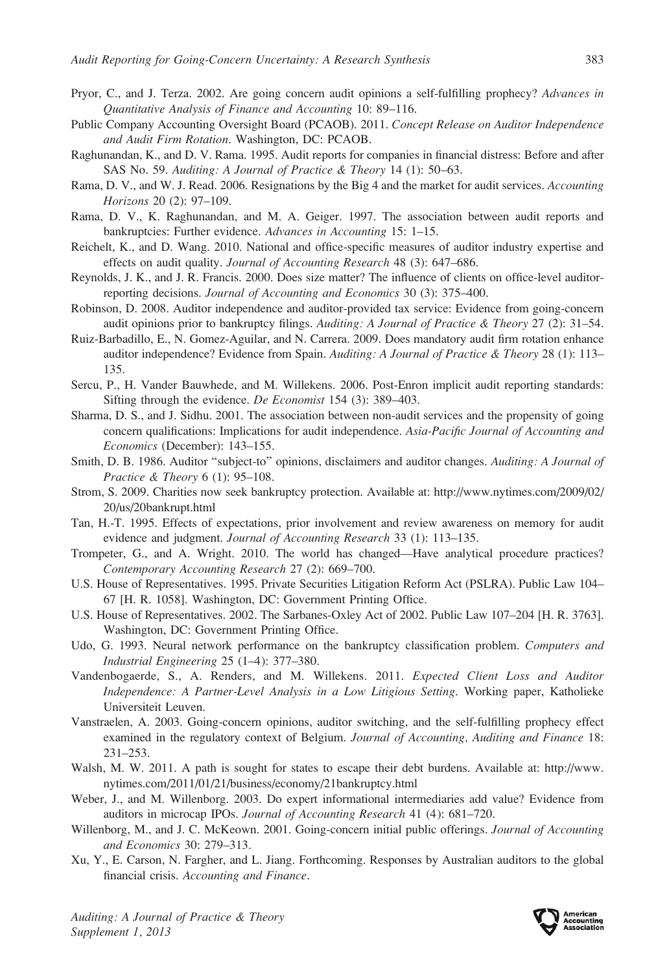- Pryor, C., and J. Terza. 2002. Are going concern audit opinions a self-fulfilling prophecy? Advances in Quantitative Analysis of Finance and Accounting 10: 89–116.
- Public Company Accounting Oversight Board (PCAOB). 2011. Concept Release on Auditor Independence and Audit Firm Rotation. Washington, DC: PCAOB.
- Raghunandan, K., and D. V. Rama. 1995. Audit reports for companies in financial distress: Before and after SAS No. 59. Auditing: A Journal of Practice & Theory 14 (1): 50–63.
- Rama, D. V., and W. J. Read. 2006. Resignations by the Big 4 and the market for audit services. Accounting Horizons 20 (2): 97–109.
- Rama, D. V., K. Raghunandan, and M. A. Geiger. 1997. The association between audit reports and bankruptcies: Further evidence. Advances in Accounting 15: 1-15.
- Reichelt, K., and D. Wang. 2010. National and office-specific measures of auditor industry expertise and effects on audit quality. Journal of Accounting Research 48 (3): 647–686.
- Reynolds, J. K., and J. R. Francis. 2000. Does size matter? The influence of clients on office-level auditorreporting decisions. Journal of Accounting and Economics 30 (3): 375–400.
- Robinson, D. 2008. Auditor independence and auditor-provided tax service: Evidence from going-concern audit opinions prior to bankruptcy filings. Auditing: A Journal of Practice & Theory 27 (2): 31–54.
- Ruiz-Barbadillo, E., N. Gomez-Aguilar, and N. Carrera. 2009. Does mandatory audit firm rotation enhance auditor independence? Evidence from Spain. Auditing: A Journal of Practice & Theory 28 (1): 113– 135.
- Sercu, P., H. Vander Bauwhede, and M. Willekens. 2006. Post-Enron implicit audit reporting standards: Sifting through the evidence. De Economist 154 (3): 389–403.
- Sharma, D. S., and J. Sidhu. 2001. The association between non-audit services and the propensity of going concern qualifications: Implications for audit independence. Asia-Pacific Journal of Accounting and Economics (December): 143–155.
- Smith, D. B. 1986. Auditor "subject-to" opinions, disclaimers and auditor changes. Auditing: A Journal of Practice & Theory 6 (1): 95–108.
- Strom, S. 2009. Charities now seek bankruptcy protection. Available at: http://www.nytimes.com/2009/02/ 20/us/20bankrupt.html
- Tan, H.-T. 1995. Effects of expectations, prior involvement and review awareness on memory for audit evidence and judgment. Journal of Accounting Research 33 (1): 113–135.
- Trompeter, G., and A. Wright. 2010. The world has changed—Have analytical procedure practices? Contemporary Accounting Research 27 (2): 669–700.
- U.S. House of Representatives. 1995. Private Securities Litigation Reform Act (PSLRA). Public Law 104– 67 [H. R. 1058]. Washington, DC: Government Printing Office.
- U.S. House of Representatives. 2002. The Sarbanes-Oxley Act of 2002. Public Law 107–204 [H. R. 3763]. Washington, DC: Government Printing Office.
- Udo, G. 1993. Neural network performance on the bankruptcy classification problem. Computers and Industrial Engineering 25 (1–4): 377–380.
- Vandenbogaerde, S., A. Renders, and M. Willekens. 2011. Expected Client Loss and Auditor Independence: A Partner-Level Analysis in a Low Litigious Setting. Working paper, Katholieke Universiteit Leuven.
- Vanstraelen, A. 2003. Going-concern opinions, auditor switching, and the self-fulfilling prophecy effect examined in the regulatory context of Belgium. Journal of Accounting, Auditing and Finance 18: 231–253.
- Walsh, M. W. 2011. A path is sought for states to escape their debt burdens. Available at: http://www. nytimes.com/2011/01/21/business/economy/21bankruptcy.html
- Weber, J., and M. Willenborg. 2003. Do expert informational intermediaries add value? Evidence from auditors in microcap IPOs. Journal of Accounting Research 41 (4): 681–720.
- Willenborg, M., and J. C. McKeown. 2001. Going-concern initial public offerings. *Journal of Accounting* and Economics 30: 279–313.
- Xu, Y., E. Carson, N. Fargher, and L. Jiang. Forthcoming. Responses by Australian auditors to the global financial crisis. Accounting and Finance.



Auditing: A Journal of Practice & Theory Supplement 1, 2013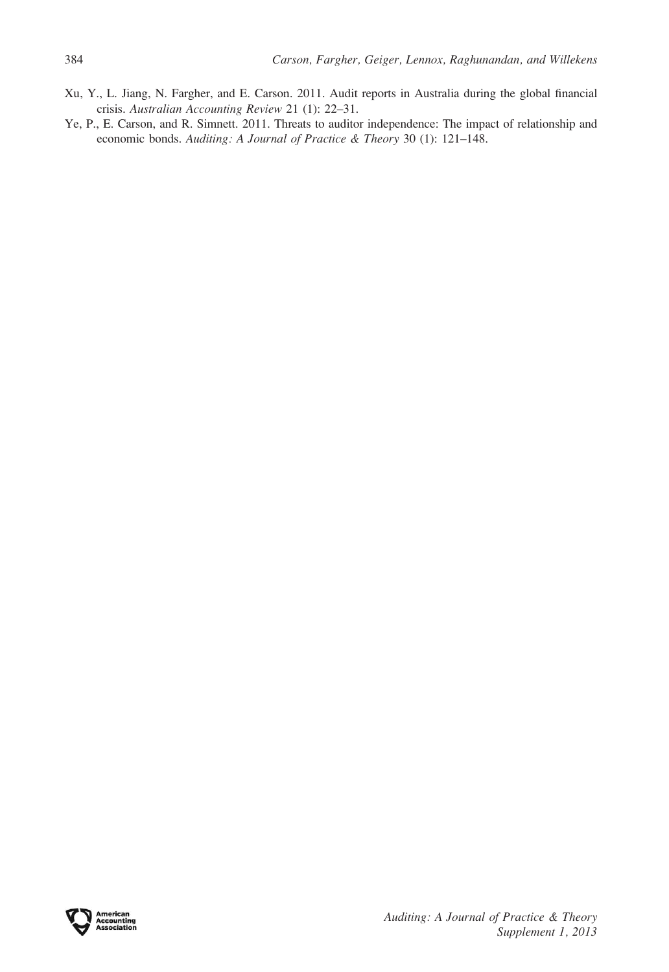- Xu, Y., L. Jiang, N. Fargher, and E. Carson. 2011. Audit reports in Australia during the global financial crisis. Australian Accounting Review 21 (1): 22–31.
- Ye, P., E. Carson, and R. Simnett. 2011. Threats to auditor independence: The impact of relationship and economic bonds. Auditing: A Journal of Practice & Theory 30 (1): 121–148.